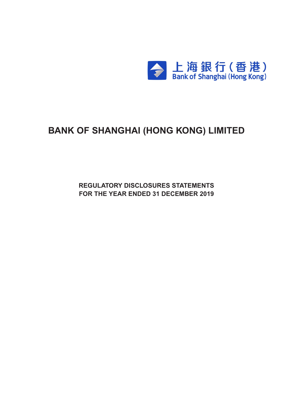

# **BANK OF SHANGHAI (HONG KONG) LIMITED**

**Regulatory Disclosures Statements For the Year ended 31 december 2019**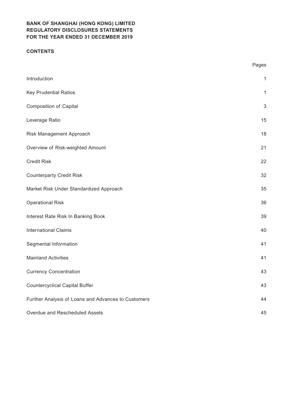## **CONTENTS**

|                                                     | Pages        |
|-----------------------------------------------------|--------------|
| Introduction                                        | $\mathbf{1}$ |
| <b>Key Prudential Ratios</b>                        | 1            |
| <b>Composition of Capital</b>                       | $\mathbf{3}$ |
| Leverage Ratio                                      | 15           |
| Risk Management Approach                            | 18           |
| Overview of Risk-weighted Amount                    | 21           |
| <b>Credit Risk</b>                                  | 22           |
| <b>Counterparty Credit Risk</b>                     | 32           |
| Market Risk Under Standardized Approach             | 35           |
| <b>Operational Risk</b>                             | 36           |
| Interest Rate Risk In Banking Book                  | 39           |
| <b>International Claims</b>                         | 40           |
| Segmental Information                               | 41           |
| <b>Mainland Activities</b>                          | 41           |
| <b>Currency Concentration</b>                       | 43           |
| <b>Countercyclical Capital Buffer</b>               | 43           |
| Further Analysis of Loans and Advances to Customers | 44           |
| Overdue and Rescheduled Assets                      | 45           |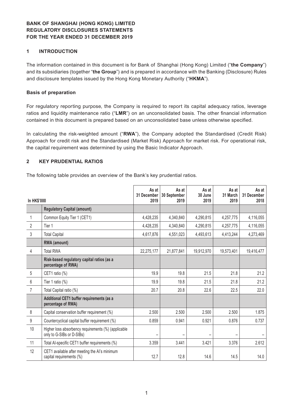## **1 INTRODUCTION**

The information contained in this document is for Bank of Shanghai (Hong Kong) Limited ("**the Company**") and its subsidiaries (together "**the Group**") and is prepared in accordance with the Banking (Disclosure) Rules and disclosure templates issued by the Hong Kong Monetary Authority ("**HKMA**").

#### **Basis of preparation**

For regulatory reporting purpose, the Company is required to report its capital adequacy ratios, leverage ratios and liquidity maintenance ratio ("**LMR**") on an unconsolidated basis. The other financial information contained in this document is prepared based on an unconsolidated base unless otherwise specified.

In calculating the risk-weighted amount ("**RWA**"), the Company adopted the Standardised (Credit Risk) Approach for credit risk and the Standardised (Market Risk) Approach for market risk. For operational risk, the capital requirement was determined by using the Basic Indicator Approach.

#### **2 KEY PRUDENTIAL RATIOS**

The following table provides an overview of the Bank's key prudential ratios.

| <b>In HK\$'000</b> |                                                                                  | As at<br>31 December<br>2019 | As at<br>30 September<br>2019 | As at<br>30 June<br>2019 | As at<br>31 March<br>2019 | As at<br>31 December<br>2018 |
|--------------------|----------------------------------------------------------------------------------|------------------------------|-------------------------------|--------------------------|---------------------------|------------------------------|
|                    | <b>Regulatory Capital (amount)</b>                                               |                              |                               |                          |                           |                              |
| 1                  | Common Equity Tier 1 (CET1)                                                      | 4,428,235                    | 4,340,840                     | 4,290,815                | 4,257,775                 | 4,116,055                    |
| $\overline{2}$     | Tier 1                                                                           | 4,428,235                    | 4,340,840                     | 4,290,815                | 4,257,775                 | 4,116,055                    |
| 3                  | <b>Total Capital</b>                                                             | 4,617,876                    | 4,551,023                     | 4,493,613                | 4,413,244                 | 4,273,469                    |
|                    | RWA (amount)                                                                     |                              |                               |                          |                           |                              |
| 4                  | <b>Total RWA</b>                                                                 | 22,275,177                   | 21,877,841                    | 19,912,970               | 19,573,401                | 19,416,477                   |
|                    | Risk-based regulatory capital ratios (as a<br>percentage of RWA)                 |                              |                               |                          |                           |                              |
| 5                  | CET1 ratio (%)                                                                   | 19.9                         | 19.8                          | 21.5                     | 21.8                      | 21.2                         |
| $6\phantom{1}6$    | Tier 1 ratio (%)                                                                 | 19.9                         | 19.8                          | 21.5                     | 21.8                      | 21.2                         |
| $\overline{7}$     | Total Capital ratio (%)                                                          | 20.7                         | 20.8                          | 22.6                     | 22.5                      | 22.0                         |
|                    | Additional CET1 buffer requirements (as a<br>percentage of RWA)                  |                              |                               |                          |                           |                              |
| 8                  | Capital conservation buffer requirement (%)                                      | 2.500                        | 2.500                         | 2.500                    | 2.500                     | 1.875                        |
| 9                  | Countercyclical capital buffer requirement (%)                                   | 0.859                        | 0.941                         | 0.921                    | 0.876                     | 0.737                        |
| 10                 | Higher loss absorbency requirements (%) (applicable<br>only to G-SIBs or D-SIBs) |                              |                               |                          |                           |                              |
| 11                 | Total Al-specific CET1 buffer requirements (%)                                   | 3.359                        | 3.441                         | 3.421                    | 3.376                     | 2.612                        |
| 12                 | CET1 available after meeting the AI's minimum<br>capital requirements (%)        | 12.7                         | 12.8                          | 14.6                     | 14.5                      | 14.0                         |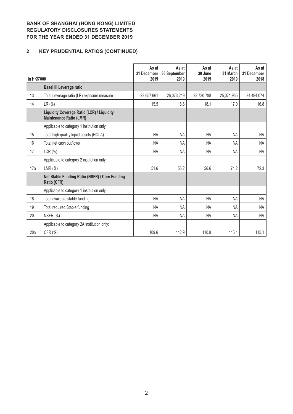# **2 KEY PRUDENTIAL RATIOS (CONTINUED)**

| <b>In HK\$'000</b> |                                                                                     | As at<br>31 December<br>2019 | As at<br>30 September<br>2019 | As at<br>30 June<br>2019 | As at<br>31 March<br>2019 | As at<br>31 December<br>2018 |
|--------------------|-------------------------------------------------------------------------------------|------------------------------|-------------------------------|--------------------------|---------------------------|------------------------------|
|                    | <b>Basel III Leverage ratio</b>                                                     |                              |                               |                          |                           |                              |
| 13                 | Total Leverage ratio (LR) exposure measure                                          | 28,657,661                   | 26,073,219                    | 23,730,798               | 25,071,955                | 24,494,074                   |
| 14                 | LR (%)                                                                              | 15.5                         | 16.6                          | 18.1                     | 17.0                      | 16.8                         |
|                    | <b>Liquidity Coverage Ratio (LCR) / Liquidity</b><br><b>Maintenance Ratio (LMR)</b> |                              |                               |                          |                           |                              |
|                    | Applicable to category 1 institution only:                                          |                              |                               |                          |                           |                              |
| 15                 | Total high quality liquid assets (HQLA)                                             | NA                           | NA                            | <b>NA</b>                | <b>NA</b>                 | NA                           |
| 16                 | Total net cash outflows                                                             | <b>NA</b>                    | <b>NA</b>                     | <b>NA</b>                | NA.                       | NA                           |
| 17                 | LCR(%)                                                                              | <b>NA</b>                    | <b>NA</b>                     | <b>NA</b>                | <b>NA</b>                 | <b>NA</b>                    |
|                    | Applicable to category 2 institution only:                                          |                              |                               |                          |                           |                              |
| 17a                | LMR $(\%)$                                                                          | 51.6                         | 55.2                          | 56.6                     | 74.2                      | 72.3                         |
|                    | Net Stable Funding Ratio (NSFR) / Core Funding<br>Ratio (CFR)                       |                              |                               |                          |                           |                              |
|                    | Applicable to category 1 institution only:                                          |                              |                               |                          |                           |                              |
| 18                 | Total available stable funding                                                      | NA                           | <b>NA</b>                     | <b>NA</b>                | <b>NA</b>                 | <b>NA</b>                    |
| 19                 | <b>Total required Stable funding</b>                                                | <b>NA</b>                    | <b>NA</b>                     | <b>NA</b>                | NA.                       | NA                           |
| 20                 | NSFR (%)                                                                            | <b>NA</b>                    | <b>NA</b>                     | <b>NA</b>                | NA                        | <b>NA</b>                    |
|                    | Applicable to category 2A institution only:                                         |                              |                               |                          |                           |                              |
| 20a                | CFR (%)                                                                             | 109.6                        | 112.9                         | 110.8                    | 115.1                     | 115.1                        |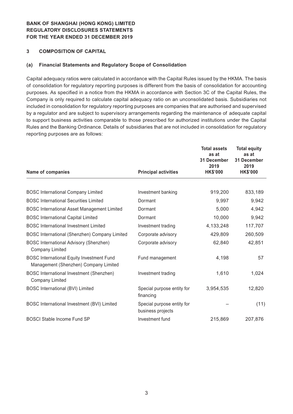#### **3 COMPOSITION OF CAPITAL**

#### **(a) Financial Statements and Regulatory Scope of Consolidation**

Capital adequacy ratios were calculated in accordance with the Capital Rules issued by the HKMA. The basis of consolidation for regulatory reporting purposes is different from the basis of consolidation for accounting purposes. As specified in a notice from the HKMA in accordance with Section 3C of the Capital Rules, the Company is only required to calculate capital adequacy ratio on an unconsolidated basis. Subsidiaries not included in consolidation for regulatory reporting purposes are companies that are authorised and supervised by a regulator and are subject to supervisory arrangements regarding the maintenance of adequate capital to support business activities comparable to those prescribed for authorized institutions under the Capital Rules and the Banking Ordinance. Details of subsidiaries that are not included in consolidation for regulatory reporting purposes are as follows:

| <b>Name of companies</b>                                                                  | <b>Principal activities</b>                     | <b>Total assets</b><br>as at<br>31 December<br>2019<br><b>HK\$'000</b> | <b>Total equity</b><br>as at<br>31 December<br>2019<br><b>HK\$'000</b> |
|-------------------------------------------------------------------------------------------|-------------------------------------------------|------------------------------------------------------------------------|------------------------------------------------------------------------|
|                                                                                           |                                                 |                                                                        |                                                                        |
| <b>BOSC International Company Limited</b>                                                 | Investment banking                              | 919,200                                                                | 833,189                                                                |
| <b>BOSC International Securities Limited</b>                                              | Dormant                                         | 9,997                                                                  | 9,942                                                                  |
| <b>BOSC International Asset Management Limited</b>                                        | Dormant                                         | 5,000                                                                  | 4,942                                                                  |
| <b>BOSC International Capital Limited</b>                                                 | Dormant                                         | 10,000                                                                 | 9,942                                                                  |
| <b>BOSC</b> International Investment Limited                                              | Investment trading                              | 4,133,248                                                              | 117,707                                                                |
| BOSC International (Shenzhen) Company Limited                                             | Corporate advisory                              | 429,809                                                                | 260,509                                                                |
| <b>BOSC International Advisory (Shenzhen)</b><br><b>Company Limited</b>                   | Corporate advisory                              | 62,840                                                                 | 42,851                                                                 |
| <b>BOSC International Equity Investment Fund</b><br>Management (Shenzhen) Company Limited | Fund management                                 | 4,198                                                                  | 57                                                                     |
| BOSC International Investment (Shenzhen)<br><b>Company Limited</b>                        | Investment trading                              | 1,610                                                                  | 1,024                                                                  |
| <b>BOSC International (BVI) Limited</b>                                                   | Special purpose entity for<br>financing         | 3,954,535                                                              | 12,820                                                                 |
| BOSC International Investment (BVI) Limited                                               | Special purpose entity for<br>business projects |                                                                        | (11)                                                                   |
| <b>BOSCI Stable Income Fund SP</b>                                                        | Investment fund                                 | 215,869                                                                | 207,876                                                                |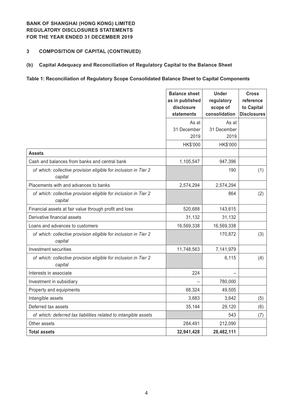## **3 COMPOSITION OF CAPITAL (CONTINUED)**

#### **(b) Capital Adequacy and Reconciliation of Regulatory Capital to the Balance Sheet**

## **Table 1: Reconciliation of Regulatory Scope Consolidated Balance Sheet to Capital Components**

|                                                                            | <b>Balance sheet</b><br>as in published<br>disclosure<br>statements | <b>Under</b><br>regulatory<br>scope of<br>consolidation | <b>Cross</b><br>reference<br>to Capital<br><b>Disclosures</b> |
|----------------------------------------------------------------------------|---------------------------------------------------------------------|---------------------------------------------------------|---------------------------------------------------------------|
|                                                                            | As at                                                               | As at                                                   |                                                               |
|                                                                            | 31 December<br>2019                                                 | 31 December<br>2019                                     |                                                               |
|                                                                            | HK\$'000                                                            | HK\$'000                                                |                                                               |
| <b>Assets</b>                                                              |                                                                     |                                                         |                                                               |
| Cash and balances from banks and central bank                              | 1,105,547                                                           | 947,396                                                 |                                                               |
| of which: collective provision eligible for inclusion in Tier 2<br>capital |                                                                     | 190                                                     | (1)                                                           |
| Placements with and advances to banks                                      | 2,574,294                                                           | 2,574,294                                               |                                                               |
| of which: collective provision eligible for inclusion in Tier 2<br>capital |                                                                     | 864                                                     | (2)                                                           |
| Financial assets at fair value through profit and loss                     | 520,688                                                             | 143,615                                                 |                                                               |
| Derivative financial assets                                                | 31,132                                                              | 31,132                                                  |                                                               |
| Loans and advances to customers                                            | 16,569,338                                                          | 16,569,338                                              |                                                               |
| of which: collective provision eligible for inclusion in Tier 2<br>capital |                                                                     | 170,872                                                 | (3)                                                           |
| Investment securities                                                      | 11,748,563                                                          | 7,141,979                                               |                                                               |
| of which: collective provision eligible for inclusion in Tier 2<br>capital |                                                                     | 6,115                                                   | (4)                                                           |
| Interests in associate                                                     | 224                                                                 |                                                         |                                                               |
| Investment in subsidiary                                                   |                                                                     | 780,000                                                 |                                                               |
| Property and equipments                                                    | 68,324                                                              | 49,505                                                  |                                                               |
| Intangible assets                                                          | 3,683                                                               | 3,642                                                   | (5)                                                           |
| Deferred tax assets                                                        | 35,144                                                              | 29,120                                                  | (6)                                                           |
| of which: deferred tax liabilities related to intangible assets            |                                                                     | 543                                                     | (7)                                                           |
| Other assets                                                               | 284,491                                                             | 212,090                                                 |                                                               |
| <b>Total assets</b>                                                        | 32,941,428                                                          | 28,482,111                                              |                                                               |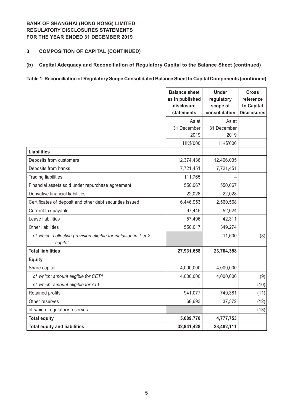## **3 COMPOSITION OF CAPITAL (CONTINUED)**

## **(b) Capital Adequacy and Reconciliation of Regulatory Capital to the Balance Sheet (continued)**

#### **Table 1: Reconciliation of Regulatory Scope Consolidated Balance Sheet to Capital Components (continued)**

|                                                                            | <b>Balance sheet</b><br>as in published<br>disclosure<br>statements | <b>Under</b><br>regulatory<br>scope of<br>consolidation | <b>Cross</b><br>reference<br>to Capital<br><b>Disclosures</b> |
|----------------------------------------------------------------------------|---------------------------------------------------------------------|---------------------------------------------------------|---------------------------------------------------------------|
|                                                                            | As at                                                               | As at                                                   |                                                               |
|                                                                            | 31 December                                                         | 31 December                                             |                                                               |
|                                                                            | 2019                                                                | 2019                                                    |                                                               |
|                                                                            | HK\$'000                                                            | HK\$'000                                                |                                                               |
| <b>Liabilities</b>                                                         |                                                                     |                                                         |                                                               |
| Deposits from customers                                                    | 12,374,436                                                          | 12,406,035                                              |                                                               |
| Deposits from banks                                                        | 7,721,451                                                           | 7,721,451                                               |                                                               |
| <b>Trading liabilities</b>                                                 | 111,765                                                             |                                                         |                                                               |
| Financial assets sold under repurchase agreement                           | 550,067                                                             | 550,067                                                 |                                                               |
| Derivative financial liabilities                                           | 22,028                                                              | 22,028                                                  |                                                               |
| Certificates of deposit and other debt securities issued                   | 6,446,953                                                           | 2,560,568                                               |                                                               |
| Current tax payable                                                        | 97,445                                                              | 52,624                                                  |                                                               |
| Lease liabilities                                                          | 57,496                                                              | 42,311                                                  |                                                               |
| <b>Other liabilities</b>                                                   | 550,017                                                             | 349,274                                                 |                                                               |
| of which: collective provision eligible for inclusion in Tier 2<br>capital |                                                                     | 11,600                                                  | (8)                                                           |
| <b>Total liabilities</b>                                                   | 27,931,658                                                          | 23,704,358                                              |                                                               |
| <b>Equity</b>                                                              |                                                                     |                                                         |                                                               |
| Share capital                                                              | 4,000,000                                                           | 4,000,000                                               |                                                               |
| of which: amount eligible for CET1                                         | 4,000,000                                                           | 4,000,000                                               | (9)                                                           |
| of which: amount eligible for AT1                                          |                                                                     |                                                         | (10)                                                          |
| Retained profits                                                           | 941,077                                                             | 740,381                                                 | (11)                                                          |
| Other reserves                                                             | 68,693                                                              | 37,372                                                  | (12)                                                          |
| of which: regulatory reserves                                              |                                                                     |                                                         | (13)                                                          |
| <b>Total equity</b>                                                        | 5,009,770                                                           | 4,777,753                                               |                                                               |
| <b>Total equity and liabilities</b>                                        | 32,941,428                                                          | 28,482,111                                              |                                                               |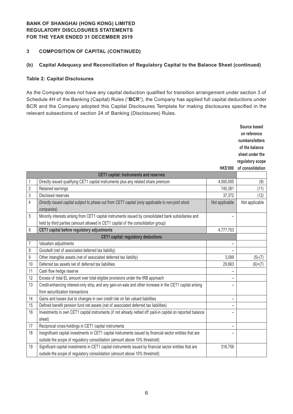#### **3 COMPOSITION OF CAPITAL (CONTINUED)**

#### **(b) Capital Adequacy and Reconciliation of Regulatory Capital to the Balance Sheet (continued)**

#### **Table 2: Capital Disclosures**

As the Company does not have any capital deduction qualified for transition arrangement under section 3 of Schedule 4H of the Banking (Capital) Rules ("**BCR**"), the Company has applied full capital deductions under BCR and the Company adopted this Capital Disclosures Template for making disclosures specified in the relevant subsections of section 24 of Banking (Disclosures) Rules.

|                                            |                                                                                                            |                          | Source based     |
|--------------------------------------------|------------------------------------------------------------------------------------------------------------|--------------------------|------------------|
|                                            |                                                                                                            |                          | on reference     |
|                                            |                                                                                                            |                          | numbers/letters  |
|                                            |                                                                                                            |                          | of the balance   |
|                                            |                                                                                                            |                          | sheet under the  |
|                                            |                                                                                                            |                          | regulatory scope |
|                                            |                                                                                                            | <b>HK\$'000</b>          | of consolidation |
|                                            | <b>CET1 capital: Instruments and reserves</b>                                                              |                          |                  |
| 1                                          | Directly issued qualifying CET1 capital instruments plus any related share premium                         | 4,000,000                | (9)              |
| $\overline{2}$                             | Retained earnings                                                                                          | 740,381                  | (11)             |
| $\mathfrak{Z}$                             | <b>Disclosed reserves</b>                                                                                  | 37,372                   | (12)             |
| 4                                          | Directly issued capital subject to phase out from CET1 capital (only applicable lo non-joint stock         | Not applicable           | Not applicable   |
|                                            | companies)                                                                                                 |                          |                  |
| 5                                          | Minority interests arising from CET1 capital instruments issued by consolidated bank subsidiaries and      |                          |                  |
|                                            | held by third parties (amount allowed in CET1 capital of the consolidation group)                          |                          |                  |
| 6                                          | CET1 capital before regulatory adjustments                                                                 | 4,777,753                |                  |
| <b>CET1 capital: regulatory deductions</b> |                                                                                                            |                          |                  |
| 7                                          | Valuation adjustments                                                                                      | $\overline{a}$           |                  |
| 8                                          | Goodwill (net of associated deferred tax liability)                                                        |                          |                  |
| 9                                          | Other intangible assets (net of associated deferred tax liability)                                         | 3,099                    | $(5)-(7)$        |
| 10                                         | Deferred tax assets net of deferred tax liabilities                                                        | 29,663                   | $(6)+(7)$        |
| 11                                         | Cash flow hedge reserve                                                                                    |                          |                  |
| 12                                         | Excess of total EL amount over total eligible provisions under the IRB approach                            |                          |                  |
| 13                                         | Credit-enhancing interest-only strip, and any gain-on-sale and other increase in the CET1 capital arising  |                          |                  |
|                                            | from securitization transactions                                                                           |                          |                  |
| 14                                         | Gains and losses due to changes in own credit risk on fair valued liabilities                              | $\qquad \qquad -$        |                  |
| 15                                         | Defined benefit pension fund net assets (net of associated deferred tax liabilities)                       | $\qquad \qquad -$        |                  |
| 16                                         | Investments in own CET1 capital instruments (if not already netted off paid-in capital on reported balance |                          |                  |
|                                            | sheet)                                                                                                     |                          |                  |
| 17                                         | Reciprocal cross-holdings in CET1 capital instruments                                                      | $\overline{\phantom{0}}$ |                  |
| 18                                         | Insignificant capital investments in CET1 capital instruments issued by financial sector entities that are |                          |                  |
|                                            | outside the scope of regulatory consolidation (amount above 10% threshold)                                 |                          |                  |
| 19                                         | Significant capital investments in CET1 capital instruments issued by financial sector entities that are   | 316,756                  |                  |
|                                            | outside the scope of regulatory consolidation (amount above 10% threshold)                                 |                          |                  |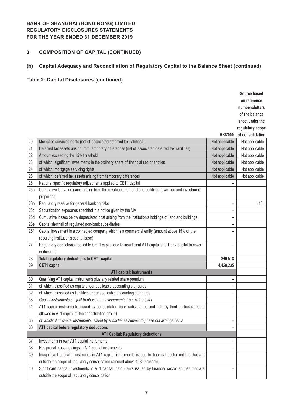# **3 COMPOSITION OF CAPITAL (CONTINUED)**

# **(b) Capital Adequacy and Reconciliation of Regulatory Capital to the Balance Sheet (continued)**

# **Table 2: Capital Disclosures (continued)**

|                 |                                                                                                           |                          | Source based     |
|-----------------|-----------------------------------------------------------------------------------------------------------|--------------------------|------------------|
|                 |                                                                                                           |                          | on reference     |
|                 |                                                                                                           |                          | numbers/letters  |
|                 |                                                                                                           |                          | of the balance   |
|                 |                                                                                                           |                          | sheet under the  |
|                 |                                                                                                           |                          | regulatory scope |
|                 |                                                                                                           | <b>HK\$'000</b>          | of consolidation |
| 20              | Mortgage servicing rights (net of associated deferred tax liabilities)                                    | Not applicable           | Not applicable   |
| 21              | Deferred tax assets arising from temporary differences (net of associated deferred tax liabilities)       | Not applicable           | Not applicable   |
| 22              | Amount exceeding the 15% threshold                                                                        | Not applicable           | Not applicable   |
| 23              | of which: significant investments in the ordinary share of financial sector entities                      | Not applicable           | Not applicable   |
| 24              | of which: mortgage servicing rights                                                                       | Not applicable           | Not applicable   |
| 25              | of which: deferred tax assets arising from temporary differences                                          | Not applicable           | Not applicable   |
| 26              | National specific regulatory adjustments applied to CET1 capital                                          |                          |                  |
| 26a             | Cumulative fair value gains arising from the revaluation of land and buildings (own-use and investment    |                          |                  |
|                 | properties)                                                                                               |                          |                  |
| 26 <sub>b</sub> | Regulatory reserve for general banking risks                                                              | $\qquad \qquad -$        | (13)             |
| 26c             | Securitization exposures specified in a notice given by the MA                                            | $\qquad \qquad -$        |                  |
| 26d             | Cumulative losses below depreciated cost arising from the institution's holdings of land and buildings    |                          |                  |
| 26e             | Capital shortfall of regulated non-bank subsidiaries                                                      | -                        |                  |
| 26f             | Capital investment in a connected company which is a commercial entity (amount above 15% of the           |                          |                  |
|                 | reporting institution's capital base)                                                                     |                          |                  |
| 27              | Regulatory deductions applied to CET1 capital due to insufficient AT1 capital and Tier 2 capital to cover | $\overline{\phantom{0}}$ |                  |
|                 | deductions                                                                                                |                          |                  |
| 28              | Total regulatory deductions to CET1 capital                                                               | 349,518                  |                  |
| 29              | <b>CET1</b> capital                                                                                       | 4,428,235                |                  |
|                 | AT1 capital: Instruments                                                                                  |                          |                  |
| 30              | Qualifying AT1 capital instruments plus any related share premium                                         | <sup>-</sup>             |                  |
| 31              | of which: classified as equity under applicable accounting standards                                      | -                        |                  |
| 32              | of which: classified as liabilities under applicable accounting standards                                 | $\qquad \qquad -$        |                  |
| 33              | Capital instruments subject to phase out arrangements from AT1 capital                                    |                          |                  |
| 34              | AT1 capital instruments issued by consolidated bank subsidiaries and held by third parties (amount        |                          |                  |
|                 | allowed in AT1 capital of the consolidation group)                                                        |                          |                  |
| 35              | of which: AT1 capital instruments issued by subsidiaries subject to phase out arrangements                |                          |                  |
| 36              | AT1 capital before regulatory deductions                                                                  | $\overline{\phantom{0}}$ |                  |
|                 | <b>AT1 Capital: Regulatory deductions</b>                                                                 |                          |                  |
| 37              | Investments in own AT1 capital instruments                                                                |                          |                  |
| 38              | Reciprocal cross-holdings in AT1 capital instruments                                                      | -                        |                  |
| 39              | Insignificant capital investments in AT1 capital instruments issued by financial sector entities that are |                          |                  |
|                 | outside the scope of regulatory consolidation (amount above 10% threshold)                                |                          |                  |
| 40              | Significant capital investments in AT1 capital instruments issued by financial sector entities that are   | $\overline{\phantom{0}}$ |                  |
|                 | outside the scope of regulatory consolidation                                                             |                          |                  |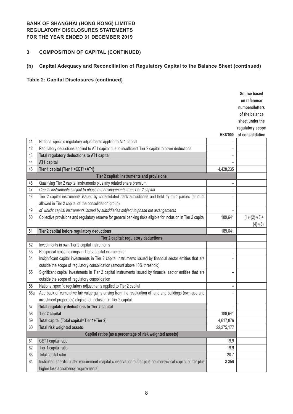# **3 COMPOSITION OF CAPITAL (CONTINUED)**

# **(b) Capital Adequacy and Reconciliation of Regulatory Capital to the Balance Sheet (continued)**

# **Table 2: Capital Disclosures (continued)**

|     |                                                                                                                 |                          | Source based     |
|-----|-----------------------------------------------------------------------------------------------------------------|--------------------------|------------------|
|     |                                                                                                                 |                          | on reference     |
|     |                                                                                                                 |                          | numbers/letters  |
|     |                                                                                                                 |                          | of the balance   |
|     |                                                                                                                 |                          | sheet under the  |
|     |                                                                                                                 |                          | regulatory scope |
|     |                                                                                                                 | <b>HK\$'000</b>          | of consolidation |
| 41  | National specific regulatory adjustments applied to AT1 capital                                                 |                          |                  |
| 42  | Regulatory deductions applied to AT1 capital due to insufficient Tier 2 capital to cover deductions             |                          |                  |
| 43  | Total regulatory deductions to AT1 capital                                                                      | -                        |                  |
| 44  | AT1 capital                                                                                                     |                          |                  |
| 45  | Tier 1 capital (Tier 1 = CET1+AT1)                                                                              | 4,428,235                |                  |
|     | Tier 2 capital: Instruments and provisions                                                                      |                          |                  |
| 46  | Qualifying Tier 2 capital instruments plus any related share premium                                            | $\overline{\phantom{0}}$ |                  |
| 47  | Capital instruments subject to phase out arrangements from Tier 2 capital                                       |                          |                  |
| 48  | Tier 2 capital instruments issued by consolidated bank subsidiaries and held by third parties (amount           |                          |                  |
|     | allowed in Tier 2 capital of the consolidation group)                                                           |                          |                  |
| 49  | of which: capital instruments issued by subsidiaries subject to phase out arrangements                          | —                        |                  |
| 50  | Collective provisions and regulatory reserve for general banking risks eligible for inclusion in Tier 2 capital | 189,641                  | $(1)+(2)+(3)+$   |
|     |                                                                                                                 |                          | $(4)+(8)$        |
| 51  | Tier 2 capital before regulatory deductions                                                                     | 189,641                  |                  |
|     | Tier 2 capital: regulatory deductions                                                                           |                          |                  |
| 52  | Investments in own Tier 2 capital instruments                                                                   | $\qquad \qquad -$        |                  |
| 53  | Reciprocal cross-holdings in Tier 2 capital instruments                                                         | -                        |                  |
| 54  | Insignificant capital investments in Tier 2 capital instruments issued by financial sector entities that are    |                          |                  |
|     | outside the scope of regulatory consolidation (amount above 10% threshold)                                      |                          |                  |
| 55  | Significant capital investments in Tier 2 capital instruments issued by financial sector entities that are      | -                        |                  |
|     | outside the scope of regulatory consolidation                                                                   |                          |                  |
| 56  | National specific regulatory adjustments applied to Tier 2 capital                                              | -                        |                  |
| 56a | Add back of cumulative fair value gains arising from the revaluation of land and buildings (own-use and         | $\overline{\phantom{0}}$ |                  |
|     | investment properties) eligible for inclusion in Tier 2 capital                                                 |                          |                  |
| 57  | Total regulatory deductions to Tier 2 capital                                                                   | -                        |                  |
| 58  | <b>Tier 2 capital</b>                                                                                           | 189,641                  |                  |
| 59  | Total capital (Total capital=Tier 1+Tier 2)                                                                     | 4,617,876                |                  |
| 60  | <b>Total risk weighted assets</b>                                                                               | 22,275,177               |                  |
|     | Capital ratios (as a percentage of risk weighted assets)                                                        |                          |                  |
| 61  | CET1 capital ratio                                                                                              | 19.9                     |                  |
| 62  | Tier 1 capital ratio                                                                                            | 19.9                     |                  |
| 63  | Total capital ratio                                                                                             | 20.7                     |                  |
| 64  | Institution specific buffer requirement (capital conservation buffer plus countercyclical capital buffer plus   | 3.359                    |                  |
|     | higher loss absorbency requirements)                                                                            |                          |                  |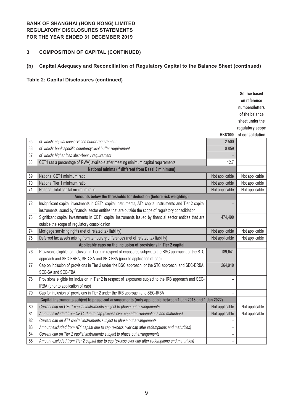# **3 COMPOSITION OF CAPITAL (CONTINUED)**

# **(b) Capital Adequacy and Reconciliation of Regulatory Capital to the Balance Sheet (continued)**

# **Table 2: Capital Disclosures (continued)**

|    |                                                                                                             |                 | Source based     |
|----|-------------------------------------------------------------------------------------------------------------|-----------------|------------------|
|    |                                                                                                             |                 | on reference     |
|    |                                                                                                             |                 | numbers/letters  |
|    |                                                                                                             |                 | of the balance   |
|    |                                                                                                             |                 | sheet under the  |
|    |                                                                                                             |                 | regulatory scope |
|    |                                                                                                             | <b>HK\$'000</b> | of consolidation |
| 65 | of which: capital conservation buffer requirement                                                           | 2.500           |                  |
| 66 | of which: bank specific countercyclical buffer requirement                                                  | 0.859           |                  |
| 67 | of which: higher loss absorbency requirement                                                                |                 |                  |
| 68 | CET1 (as a percentage of RWA) available after meeting minimum capital requirements                          | 12.7            |                  |
|    | National minima (if different from Basel 3 minimum)                                                         |                 |                  |
| 69 | National CET1 minimum ratio                                                                                 | Not applicable  | Not applicable   |
| 70 | National Tier 1 minimum ratio                                                                               | Not applicable  | Not applicable   |
| 71 | National Total capital minimum ratio                                                                        | Not applicable  | Not applicable   |
|    | Amounts below the thresholds for deduction (before risk weighting)                                          |                 |                  |
| 72 | Insignificant capital investments in CET1 capital instruments, AT1 capital instruments and Tier 2 capital   |                 |                  |
|    | instruments issued by financial sector entities that are outside the scope of regulatory consolidation      |                 |                  |
| 73 | Significant capital investments in CET1 capital instruments issued by financial sector entities that are    | 474,499         |                  |
|    | outside the scope of regulatory consolidation                                                               |                 |                  |
| 74 | Mortgage servicing rights (net of related tax liability)                                                    | Not applicable  | Not applicable   |
| 75 | Deferred tax assets arising from temporary differences (net of related tax liability)                       | Not applicable  | Not applicable   |
|    | Applicable caps on the inclusion of provisions In Tier 2 capital                                            |                 |                  |
| 76 | Provisions eligible for inclusion in Tier 2 in respect of exposures subject to the BSC approach, or the STC | 189,641         |                  |
|    | approach and SEC-ERBA, SEC-SA and SEC-FBA (prior to application of cap)                                     |                 |                  |
| 77 | Cap on inclusion of provisions in Tier 2 under the BSC approach, or the STC approach, and SEC-ERBA,         | 264,919         |                  |
|    | SEC-SA and SEC-FBA                                                                                          |                 |                  |
| 78 | Provisions eligible for inclusion in Tier 2 in respect of exposures subject to the IRB approach and SEC-    |                 |                  |
|    | IRBA (prior to application of cap)                                                                          |                 |                  |
| 79 | Cap for inclusion of provisions in Tier 2 under the IRB approach and SEC-IRBA                               |                 |                  |
|    | Capital Instruments subject to phase-out arrangements (only applicable between 1 Jan 2018 and 1 Jan 2022)   |                 |                  |
| 80 | Current cap on CET1 capital Instruments subject to phase out arrangements                                   | Not applicable  | Not applicable   |
| 81 | Amount excluded from CET1 due to cap (excess over cap after redemptions and maturities)                     | Not applicable  | Not applicable   |
| 82 | Current cap on AT1 capital instruments subject to phase out arrangements                                    |                 |                  |
| 83 | Amount excluded from AT1 capital due to cap (excess over cap after redemptions and maturities)              | $\overline{a}$  |                  |
| 84 | Current cap on Tier 2 capital instruments subject to phase out arrangements                                 | -               |                  |
| 85 | Amount excluded from Tier 2 capital due to cap (excess over cap after redemptions and maturities)           | -               |                  |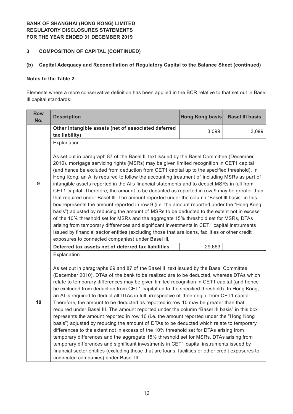#### **3 COMPOSITION OF CAPITAL (CONTINUED)**

## **(b) Capital Adequacy and Reconciliation of Regulatory Capital to the Balance Sheet (continued)**

## **Notes to the Table 2:**

Elements where a more conservative definition has been applied in the BCR relative to that set out in Basel Ill capital standards:

| <b>Row</b><br>No. | <b>Description</b>                                                                                                                                                                                                                                                                                                                                                                                                                                                                                                                                                                                                                                                                                                                                                                                                                                                                                                                                                                                                                                                                                                                                                                                                                                                                                         | <b>Hong Kong basis</b> | <b>Basel III basis</b> |  |  |  |
|-------------------|------------------------------------------------------------------------------------------------------------------------------------------------------------------------------------------------------------------------------------------------------------------------------------------------------------------------------------------------------------------------------------------------------------------------------------------------------------------------------------------------------------------------------------------------------------------------------------------------------------------------------------------------------------------------------------------------------------------------------------------------------------------------------------------------------------------------------------------------------------------------------------------------------------------------------------------------------------------------------------------------------------------------------------------------------------------------------------------------------------------------------------------------------------------------------------------------------------------------------------------------------------------------------------------------------------|------------------------|------------------------|--|--|--|
|                   | Other intangible assets (net of associated deferred                                                                                                                                                                                                                                                                                                                                                                                                                                                                                                                                                                                                                                                                                                                                                                                                                                                                                                                                                                                                                                                                                                                                                                                                                                                        | 3,099                  | 3,099                  |  |  |  |
|                   | tax liability)                                                                                                                                                                                                                                                                                                                                                                                                                                                                                                                                                                                                                                                                                                                                                                                                                                                                                                                                                                                                                                                                                                                                                                                                                                                                                             |                        |                        |  |  |  |
|                   | Explanation                                                                                                                                                                                                                                                                                                                                                                                                                                                                                                                                                                                                                                                                                                                                                                                                                                                                                                                                                                                                                                                                                                                                                                                                                                                                                                |                        |                        |  |  |  |
| 9                 | As set out in paragraph 87 of the Basel III text issued by the Basel Committee (December<br>2010), mortgage servicing rights (MSRs) may be given limited recognition in CET1 capital<br>(and hence be excluded from deduction from CET1 capital up to the specified threshold). In<br>Hong Kong, an AI is required to follow the accounting treatment of including MSRs as part of<br>intangible assets reported in the AI's financial statements and to deduct MSRs in full from<br>CET1 capital. Therefore, the amount to be deducted as reported in row 9 may be greater than<br>that required under Basel III. The amount reported under the column "Basel III basis" in this<br>box represents the amount reported in row 9 (i.e. the amount reported under the "Hong Kong<br>basis") adjusted by reducing the amount of MSRs to be deducted to the extent not in excess<br>of the 10% threshold set for MSRs and the aggregate 15% threshold set for MSRs, DTAs<br>arising from temporary differences and significant investments in CET1 capital instruments<br>issued by financial sector entities (excluding those that are loans, facilities or other credit                                                                                                                                     |                        |                        |  |  |  |
|                   | exposures to connected companies) under Basel III.                                                                                                                                                                                                                                                                                                                                                                                                                                                                                                                                                                                                                                                                                                                                                                                                                                                                                                                                                                                                                                                                                                                                                                                                                                                         |                        |                        |  |  |  |
|                   | Deferred tax assets net of deferred tax liabilities                                                                                                                                                                                                                                                                                                                                                                                                                                                                                                                                                                                                                                                                                                                                                                                                                                                                                                                                                                                                                                                                                                                                                                                                                                                        | 29,663                 |                        |  |  |  |
| 10                | Explanation<br>As set out in paragraphs 69 and 87 of the Basel III text issued by the Basel Committee<br>(December 2010), DTAs of the bank to be realized are to be deducted, whereas DTAs which<br>relate to temporary differences may be given limited recognition in CET1 capital (and hence<br>be excluded from deduction from CET1 capital up to the specified threshold). In Hong Kong,<br>an AI is required to deduct all DTAs in full, irrespective of their origin, from CET1 capital.<br>Therefore, the amount to be deducted as reported in row 10 may be greater than that<br>required under Basel III. The amount reported under the column "Basel III basis" in this box<br>represents the amount reported in row 10 (i.e. the amount reported under the "Hong Kong<br>basis") adjusted by reducing the amount of DTAs to be deducted which relate to temporary<br>differences to the extent not in excess of the 10% threshold set for DTAs arising from<br>temporary differences and the aggregate 15% threshold set for MSRs, DTAs arising from<br>temporary differences and significant investments in CET1 capital instruments issued by<br>financial sector entities (excluding those that are loans, facilities or other credit exposures to<br>connected companies) under Basel III. |                        |                        |  |  |  |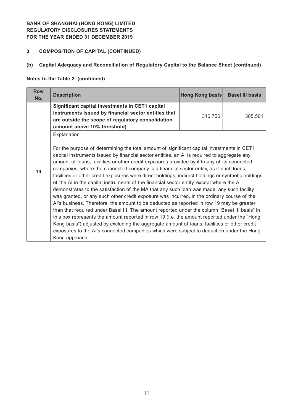## **3 COMPOSITION OF CAPITAL (CONTINUED)**

# **(b) Capital Adequacy and Reconciliation of Regulatory Capital to the Balance Sheet (continued)**

## **Notes to the Table 2: (continued)**

| <b>Row</b><br>No. | <b>Description</b>                                                                                                                                                                                                                                                                                                                                                                                                                                                                                                                                                                                                                                                                                                                                                                                                                                                                                                                                                                                                                                                                                                                                                                                                                                                                                         | Hong Kong basis | <b>Basel III basis</b> |
|-------------------|------------------------------------------------------------------------------------------------------------------------------------------------------------------------------------------------------------------------------------------------------------------------------------------------------------------------------------------------------------------------------------------------------------------------------------------------------------------------------------------------------------------------------------------------------------------------------------------------------------------------------------------------------------------------------------------------------------------------------------------------------------------------------------------------------------------------------------------------------------------------------------------------------------------------------------------------------------------------------------------------------------------------------------------------------------------------------------------------------------------------------------------------------------------------------------------------------------------------------------------------------------------------------------------------------------|-----------------|------------------------|
|                   | Significant capital investments in CET1 capital<br>instruments issued by financial sector entities that<br>are outside the scope of regulatory consolidation<br>(amount above 10% threshold)                                                                                                                                                                                                                                                                                                                                                                                                                                                                                                                                                                                                                                                                                                                                                                                                                                                                                                                                                                                                                                                                                                               | 316,756         | 305,501                |
| 19                | Explanation<br>For the purpose of determining the total amount of significant capital investments in CET1<br>capital instruments issued by financial sector entities, an AI is required to aggregate any<br>amount of loans, facilities or other credit exposures provided by it to any of its connected<br>companies, where the connected company is a financial sector entity, as if such loans,<br>facilities or other credit exposures were direct holdings, indirect holdings or synthetic holdings<br>of the AI in the capital instruments of the financial sector entity, except where the AI<br>demonstrates to the satisfaction of the MA that any such loan was made, any such facility<br>was granted, or any such other credit exposure was incurred, in the ordinary course of the<br>Al's business. Therefore, the amount to be deducted as reported in row 19 may be greater<br>than that required under Basel III. The amount reported under the column "Basel III basis" in<br>this box represents the amount reported in row 19 (i.e. the amount reported under the "Hong"<br>Kong basis") adjusted by excluding the aggregate amount of loans, facilities or other credit<br>exposures to the AI's connected companies which were subject to deduction under the Hong<br>Kong approach. |                 |                        |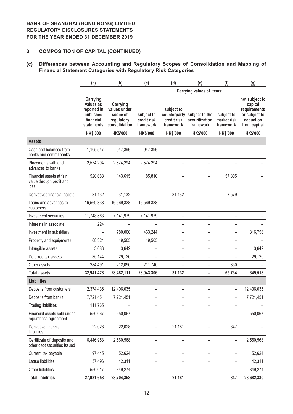## **3 COMPOSITION OF CAPITAL (CONTINUED)**

## **(c) Differences between Accounting and Regulatory Scopes of Consolidation and Mapping of Financial Statement Categories with Regulatory Risk Categories**

|                                                              | (a)                                                                          | (b)                                                                 | (c)<br>(d)<br>(f)<br>(e)               |                                        |                                                            |                                        | (g)                                                                                     |
|--------------------------------------------------------------|------------------------------------------------------------------------------|---------------------------------------------------------------------|----------------------------------------|----------------------------------------|------------------------------------------------------------|----------------------------------------|-----------------------------------------------------------------------------------------|
|                                                              |                                                                              |                                                                     |                                        |                                        | <b>Carrying values of items:</b>                           |                                        |                                                                                         |
|                                                              | Carrying<br>values as<br>reported in<br>published<br>financial<br>statements | Carrying<br>values under<br>scope of<br>regulatory<br>consolidation | subject to<br>credit risk<br>framework | subject to<br>credit risk<br>framework | counterparty subject to the<br>securitization<br>framework | subject to<br>market risk<br>framework | not subject to<br>capital<br>requirements<br>or subject to<br>deduction<br>from capital |
|                                                              | <b>HK\$'000</b>                                                              | <b>HK\$'000</b>                                                     | <b>HK\$'000</b>                        | <b>HK\$'000</b>                        | <b>HK\$'000</b>                                            | <b>HK\$'000</b>                        | <b>HK\$'000</b>                                                                         |
| <b>Assets</b>                                                |                                                                              |                                                                     |                                        |                                        |                                                            |                                        |                                                                                         |
| Cash and balances from<br>banks and central banks            | 1,105,547                                                                    | 947,396                                                             | 947,396                                |                                        |                                                            |                                        |                                                                                         |
| Placements with and<br>advances to banks                     | 2,574,294                                                                    | 2,574,294                                                           | 2,574,294                              |                                        |                                                            |                                        |                                                                                         |
| Financial assets at fair<br>value through profit and<br>loss | 520,688                                                                      | 143,615                                                             | 85,810                                 |                                        |                                                            | 57,805                                 |                                                                                         |
| Derivatives financial assets                                 | 31,132                                                                       | 31,132                                                              |                                        | 31,132                                 |                                                            | 7,579                                  |                                                                                         |
| Loans and advances to<br>customers                           | 16,569,338                                                                   | 16,569,338                                                          | 16,569,338                             |                                        |                                                            |                                        |                                                                                         |
| Investment securities                                        | 11,748,563                                                                   | 7,141,979                                                           | 7,141,979                              | -                                      |                                                            |                                        |                                                                                         |
| Interests in associate                                       | 224                                                                          |                                                                     |                                        | -                                      |                                                            |                                        |                                                                                         |
| Investment in subsidiary                                     |                                                                              | 780,000                                                             | 463,244                                | -                                      |                                                            |                                        | 316,756                                                                                 |
| Property and equipments                                      | 68,324                                                                       | 49,505                                                              | 49,505                                 | -                                      |                                                            |                                        |                                                                                         |
| Intangible assets                                            | 3,683                                                                        | 3,642                                                               |                                        | $\overline{\phantom{0}}$               |                                                            |                                        | 3,642                                                                                   |
| Deferred tax assets                                          | 35,144                                                                       | 29,120                                                              |                                        | -                                      |                                                            |                                        | 29,120                                                                                  |
| Other assets                                                 | 284,491                                                                      | 212,090                                                             | 211,740                                |                                        |                                                            | 350                                    |                                                                                         |
| <b>Total assets</b>                                          | 32,941,428                                                                   | 28,482,111                                                          | 28,043,306                             | 31,132                                 |                                                            | 65,734                                 | 349,518                                                                                 |
| <b>Liabilities</b>                                           |                                                                              |                                                                     |                                        |                                        |                                                            |                                        |                                                                                         |
| Deposits from customers                                      | 12,374,436                                                                   | 12,406,035                                                          | -                                      | $\overline{\phantom{0}}$               |                                                            |                                        | 12,406,035                                                                              |
| Deposits from banks                                          | 7,721,451                                                                    | 7,721,451                                                           | -                                      |                                        |                                                            |                                        | 7,721,451                                                                               |
| <b>Trading liabilities</b>                                   | 111,765                                                                      |                                                                     | -                                      | -                                      |                                                            |                                        |                                                                                         |
| Financial assets sold under<br>repurchase agreement          | 550,067                                                                      | 550,067                                                             |                                        |                                        |                                                            |                                        | 550,067                                                                                 |
| Derivative financial<br>liabilities                          | 22,028                                                                       | 22,028                                                              | $\overline{\phantom{0}}$               | 21,181                                 |                                                            | 847                                    |                                                                                         |
| Certificate of deposits and<br>other debt securities issued  | 6,446,953                                                                    | 2,560,568                                                           | -                                      | -                                      |                                                            |                                        | 2,560,568                                                                               |
| Current tax payable                                          | 97,445                                                                       | 52,624                                                              | -                                      | $\overline{\phantom{0}}$               |                                                            |                                        | 52,624                                                                                  |
| Lease liabilities                                            | 57,496                                                                       | 42,311                                                              | -                                      | -                                      |                                                            |                                        | 42,311                                                                                  |
| Other liabilities                                            | 550,017                                                                      | 349,274                                                             | -                                      | -                                      |                                                            |                                        | 349,274                                                                                 |
| <b>Total liabilities</b>                                     | 27,931,658                                                                   | 23,704,358                                                          | -                                      | 21,181                                 | -                                                          | 847                                    | 23,682,330                                                                              |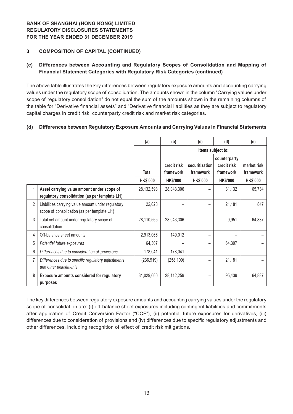## **3 COMPOSITION OF CAPITAL (CONTINUED)**

## **(c) Differences between Accounting and Regulatory Scopes of Consolidation and Mapping of Financial Statement Categories with Regulatory Risk Categories (continued)**

The above table illustrates the key differences between regulatory exposure amounts and accounting carrying values under the regulatory scope of consolidation. The amounts shown in the column "Carrying values under scope of regulatory consolidation" do not equal the sum of the amounts shown in the remaining columns of the table for "Derivative financial assets" and "Derivative financial liabilities as they are subject to regulatory capital charges in credit risk, counterparty credit risk and market risk categories.

#### **(d) Differences between Regulatory Exposure Amounts and Carrying Values in Financial Statements**

|                |                                                                                                    | (a)             | (b)                      | (c)                         | (d)                                      | (e)                      |
|----------------|----------------------------------------------------------------------------------------------------|-----------------|--------------------------|-----------------------------|------------------------------------------|--------------------------|
|                |                                                                                                    |                 | Items subject to:        |                             |                                          |                          |
|                |                                                                                                    | <b>Total</b>    | credit risk<br>framework | securitization<br>framework | counterparty<br>credit risk<br>framework | market risk<br>framework |
|                |                                                                                                    | <b>HK\$'000</b> | <b>HK\$'000</b>          | <b>HK\$'000</b>             | <b>HK\$'000</b>                          | <b>HK\$'000</b>          |
| 1              | Asset carrying value amount under scope of<br>regulatory consolidation (as per template LI1)       | 28,132,593      | 28,043,306               |                             | 31,132                                   | 65,734                   |
| $\overline{2}$ | Liabilities carrying value amount under regulatory<br>scope of consolidation (as per template LI1) | 22,028          |                          |                             | 21,181                                   | 847                      |
| 3              | Total net amount under regulatory scope of<br>consolidation                                        | 28,110,565      | 28,043,306               |                             | 9,951                                    | 64,887                   |
| 4              | Off-balance sheet amounts                                                                          | 2,913,066       | 149,012                  |                             |                                          |                          |
| 5              | Potential future exposures                                                                         | 64,307          |                          |                             | 64,307                                   |                          |
| 6              | Differences due to consideration of provisions                                                     | 178,041         | 178,041                  |                             |                                          |                          |
| 7              | Differences due to specific regulatory adjustments<br>and other adjustments                        | (236, 919)      | (258, 100)               |                             | 21,181                                   |                          |
| 8              | Exposure amounts considered for regulatory<br>purposes                                             | 31,029,060      | 28,112,259               |                             | 95,439                                   | 64,887                   |

The key differences between regulatory exposure amounts and accounting carrying values under the regulatory scope of consolidation are: (i) off-balance sheet exposures including contingent liabilities and commitments after application of Credit Conversion Factor ("CCF"), (ii) potential future exposures for derivatives, (iii) differences due to consideration of provisions and (iv) differences due to specific regulatory adjustments and other differences, including recognition of effect of credit risk mitigations.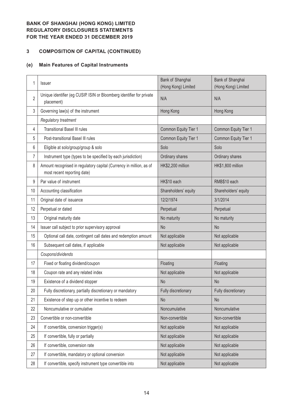# **3 COMPOSITION OF CAPITAL (CONTINUED)**

# **(e) Main Features of Capital Instruments**

| 1              | Issuer                                                                                             | Bank of Shanghai<br>(Hong Kong) Limited | Bank of Shanghai<br>(Hong Kong) Limited |
|----------------|----------------------------------------------------------------------------------------------------|-----------------------------------------|-----------------------------------------|
| $\overline{2}$ | Unique identifier (eg CUSIP. ISIN or Bloomberg identifier for private<br>placement)                | N/A                                     | N/A                                     |
| 3              | Governing law(s) of the instrument                                                                 | Hong Kong                               | Hong Kong                               |
|                | Regulatory treatment                                                                               |                                         |                                         |
| 4              | <b>Transitional Basel III rules</b>                                                                | Common Equity Tier 1                    | Common Equity Tier 1                    |
| 5              | Post-transitional Basel III rules                                                                  | Common Equity Tier 1                    | Common Equity Tier 1                    |
| 6              | Eligible at solo/group/group & solo                                                                | Solo                                    | Solo                                    |
| 7              | Instrument type (types to be specified by each jurisdiction)                                       | Ordinary shares                         | Ordinary shares                         |
| 8              | Amount recognised in regulatory capital (Currency in million, as of<br>most recent reporting date) | HK\$2,200 million                       | HK\$1,800 million                       |
| 9              | Par value of instrument                                                                            | HK\$10 each                             | RMB\$10 each                            |
| 10             | Accounting classification                                                                          | Shareholders' equity                    | Shareholders' equity                    |
| 11             | Original date of issuance                                                                          | 12/2/1974                               | 3/1/2014                                |
| 12             | Perpetual or dated                                                                                 | Perpetual                               | Perpetual                               |
| 13             | Original maturity date                                                                             | No maturity                             | No maturity                             |
| 14             | Issuer call subject to prior supervisory approval                                                  | <b>No</b>                               | N <sub>o</sub>                          |
| 15             | Optional call date, contingent call dates and redemption amount                                    | Not applicable                          | Not applicable                          |
| 16             | Subsequent call dates, if applicable                                                               | Not applicable                          | Not applicable                          |
|                | Coupons/dividends                                                                                  |                                         |                                         |
| 17             | Fixed or floating dividend/coupon                                                                  | Floating                                | Floating                                |
| 18             | Coupon rate and any related index                                                                  | Not applicable                          | Not applicable                          |
| 19             | Existence of a dividend stopper                                                                    | <b>No</b>                               | <b>No</b>                               |
| 20             | Fully discretionary, partially discretionary or mandatory                                          | Fully discretionary                     | Fully discretionary                     |
| 21             | Existence of step up or other incentive to redeem                                                  | <b>No</b>                               | No                                      |
| 22             | Noncumulative or cumulative                                                                        | Noncumulative                           | Noncumulative                           |
| 23             | Convertible or non-convertible                                                                     | Non-convertible                         | Non-convertible                         |
| 24             | If convertible, conversion trigger(s)                                                              | Not applicable                          | Not applicable                          |
| 25             | If convertible, fully or partially                                                                 | Not applicable                          | Not applicable                          |
| 26             | If convertible, conversion rate                                                                    | Not applicable                          | Not applicable                          |
| 27             | If convertible, mandatory or optional conversion                                                   | Not applicable                          | Not applicable                          |
| 28             | If convertible, specify instrument type convertible into                                           | Not applicable                          | Not applicable                          |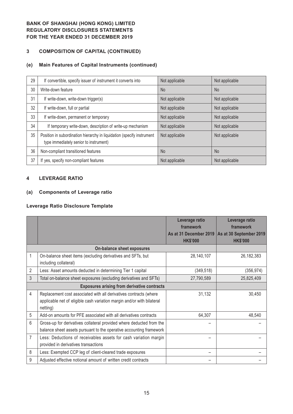# **3 COMPOSITION OF CAPITAL (CONTINUED)**

# **(e) Main Features of Capital Instruments (continued)**

| 29 | If convertible, specify issuer of instrument it converts into                                                    | Not applicable | Not applicable |
|----|------------------------------------------------------------------------------------------------------------------|----------------|----------------|
| 30 | Write-down feature                                                                                               | <b>No</b>      | <b>No</b>      |
| 31 | If write-down, write-down trigger(s)                                                                             | Not applicable | Not applicable |
| 32 | If write-down, full or partial                                                                                   | Not applicable | Not applicable |
| 33 | If write-down, permanent or temporary                                                                            | Not applicable | Not applicable |
| 34 | If temporary write-down, description of write-up mechanism                                                       | Not applicable | Not applicable |
| 35 | Position in subordination hierarchy in liquidation (specify instrument<br>type immediately senior to instrument) | Not applicable | Not applicable |
| 36 | Non-compliant transitioned features                                                                              | <b>No</b>      | N <sub>o</sub> |
| 37 | If yes, specify non-compliant features                                                                           | Not applicable | Not applicable |

#### **4 LEVERAGE RATIO**

## **(a) Components of Leverage ratio**

#### **Leverage Ratio Disclosure Template**

|                |                                                                                                                                                         | Leverage ratio<br>framework               | Leverage ratio<br>framework                |
|----------------|---------------------------------------------------------------------------------------------------------------------------------------------------------|-------------------------------------------|--------------------------------------------|
|                |                                                                                                                                                         | As at 31 December 2019<br><b>HK\$'000</b> | As at 30 September 2019<br><b>HK\$'000</b> |
|                | <b>On-balance sheet exposures</b>                                                                                                                       |                                           |                                            |
| 1              | On-balance sheet items (excluding derivatives and SFTs, but<br>including collateral)                                                                    | 28,140,107                                | 26,182,383                                 |
| $\overline{2}$ | Less: Asset amounts deducted in determining Tier 1 capital                                                                                              | (349, 518)                                | (356, 974)                                 |
| 3              | Total on-balance sheet exposures (excluding derivatives and SFTs)                                                                                       | 27,790,589                                | 25,825,409                                 |
|                | <b>Exposures arising from derivative contracts</b>                                                                                                      |                                           |                                            |
| 4              | Replacement cost associated with all derivatives contracts (where<br>applicable net of eligible cash variation margin and/or with bilateral<br>netting) | 31,132                                    | 30,450                                     |
| 5              | Add-on amounts for PFE associated with all derivatives contracts                                                                                        | 64,307                                    | 48,540                                     |
| 6              | Gross-up for derivatives collateral provided where deducted from the<br>balance sheet assets pursuant to the operative accounting framework             |                                           |                                            |
| $\overline{7}$ | Less: Deductions of receivables assets for cash variation margin<br>provided in derivatives transactions                                                |                                           |                                            |
| 8              | Less: Exempted CCP leg of client-cleared trade exposures                                                                                                |                                           |                                            |
| 9              | Adjusted effective notional amount of written credit contracts                                                                                          |                                           |                                            |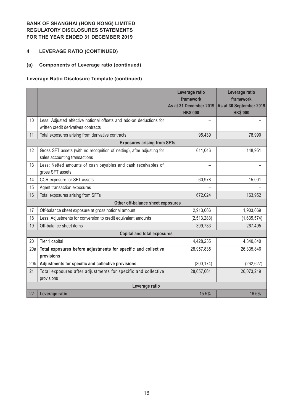## **4 LEVERAGE RATIO (CONTINUED)**

# **(a) Components of Leverage ratio (continued)**

## **Leverage Ratio Disclosure Template (continued)**

|                 |                                                                                                             | Leverage ratio<br>framework<br>As at 31 December 2019<br><b>HK\$'000</b> | Leverage ratio<br>framework<br>As at 30 September 2019<br><b>HK\$'000</b> |
|-----------------|-------------------------------------------------------------------------------------------------------------|--------------------------------------------------------------------------|---------------------------------------------------------------------------|
| 10              | Less: Adjusted effective notional offsets and add-on deductions for<br>written credit derivatives contracts |                                                                          |                                                                           |
| 11              | Total exposures arising from derivative contracts                                                           | 95,439                                                                   | 78,990                                                                    |
|                 | <b>Exposures arising from SFTs</b>                                                                          |                                                                          |                                                                           |
| 12              | Gross SFT assets (with no recognition of netting), after adjusting for<br>sales accounting transactions     | 611,046                                                                  | 148,951                                                                   |
| 13              | Less: Netted amounts of cash payables and cash receivables of<br>gross SFT assets                           |                                                                          |                                                                           |
| 14              | CCR exposure for SFT assets                                                                                 | 60,978                                                                   | 15,001                                                                    |
| 15              | Agent transaction exposures                                                                                 |                                                                          |                                                                           |
| 16              | Total exposures arising from SFTs                                                                           | 672,024                                                                  | 163,952                                                                   |
|                 | Other off-balance sheet exposures                                                                           |                                                                          |                                                                           |
| 17              | Off-balance sheet exposure at gross notional amount                                                         | 2,913,066                                                                | 1,903,069                                                                 |
| 18              | Less: Adjustments for conversion to credit equivalent amounts                                               | (2,513,283)                                                              | (1,635,574)                                                               |
| 19              | Off-balance sheet items                                                                                     | 399,783                                                                  | 267,495                                                                   |
|                 | <b>Capital and total exposures</b>                                                                          |                                                                          |                                                                           |
| 20              | Tier 1 capital                                                                                              | 4,428,235                                                                | 4,340,840                                                                 |
| 20a             | Total exposures before adjustments for specific and collective<br>provisions                                | 28,957,835                                                               | 26,335,846                                                                |
| 20 <sub>b</sub> | Adjustments for specific and collective provisions                                                          | (300, 174)                                                               | (262, 627)                                                                |
| 21              | Total exposures after adjustments for specific and collective<br>provisions                                 | 28,657,661                                                               | 26,073,219                                                                |
|                 | Leverage ratio                                                                                              |                                                                          |                                                                           |
| 22              | Leverage ratio                                                                                              | 15.5%                                                                    | 16.6%                                                                     |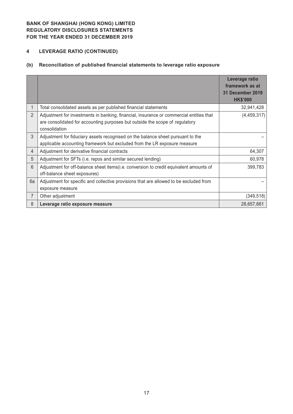# **4 LEVERAGE RATIO (CONTINUED)**

# **(b) Reconciliation of published financial statements to leverage ratio exposure**

|                |                                                                                                                                                                                          | Leverage ratio<br>framework as at<br><b>31 December 2019</b><br><b>HK\$'000</b> |
|----------------|------------------------------------------------------------------------------------------------------------------------------------------------------------------------------------------|---------------------------------------------------------------------------------|
|                | Total consolidated assets as per published financial statements                                                                                                                          | 32,941,428                                                                      |
| $\overline{2}$ | Adjustment for investments in banking, financial, insurance or commercial entities that<br>are consolidated for accounting purposes but outside the scope of regulatory<br>consolidation | (4, 459, 317)                                                                   |
| 3              | Adjustment for fiduciary assets recognised on the balance sheet pursuant to the<br>applicable accounting framework but excluded from the LR exposure measure                             |                                                                                 |
| $\overline{4}$ | Adjustment for derivative financial contracts                                                                                                                                            | 64,307                                                                          |
| 5              | Adjustment for SFTs (i.e. repos and similar secured lending)                                                                                                                             | 60,978                                                                          |
| 6              | Adjustment for off-balance sheet items(i.e. conversion to credit equivalent amounts of<br>off-balance sheet exposures)                                                                   | 399,783                                                                         |
| 6a             | Adjustment for specific and collective provisions that are allowed to be excluded from<br>exposure measure                                                                               |                                                                                 |
| 7              | Other adjustment                                                                                                                                                                         | (349, 518)                                                                      |
| 8              | Leverage ratio exposure measure                                                                                                                                                          | 28,657,661                                                                      |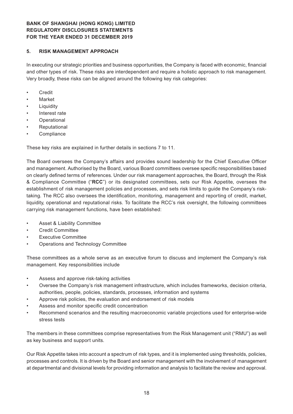#### **5. RISK MANAGEMENT APPROACH**

In executing our strategic priorities and business opportunities, the Company is faced with economic, financial and other types of risk. These risks are interdependent and require a holistic approach to risk management. Very broadly, these risks can be aligned around the following key risk categories:

- • Credit
- **Market**
- **Liquidity**
- Interest rate
- **Operational**
- **Reputational**
- **Compliance**

These key risks are explained in further details in sections 7 to 11.

The Board oversees the Company's affairs and provides sound leadership for the Chief Executive Officer and management. Authorised by the Board, various Board committees oversee specific responsibilities based on clearly defined terms of references. Under our risk management approaches, the Board, through the Risk & Compliance Committee ("**RCC**") or its designated committees, sets our Risk Appetite, oversees the establishment of risk management policies and processes, and sets risk limits to guide the Company's risktaking. The RCC also oversees the identification, monitoring, management and reporting of credit, market, liquidity, operational and reputational risks. To facilitate the RCC's risk oversight, the following committees carrying risk management functions, have been established:

- Asset & Liability Committee
- **Credit Committee**
- **Executive Committee**
- Operations and Technology Committee

These committees as a whole serve as an executive forum to discuss and implement the Company's risk management. Key responsibilities include

- Assess and approve risk-taking activities
- Oversee the Company's risk management infrastructure, which includes frameworks, decision criteria, authorities, people, policies, standards, processes, information and systems
- Approve risk policies, the evaluation and endorsement of risk models
- Assess and monitor specific credit concentration
- Recommend scenarios and the resulting macroeconomic variable projections used for enterprise-wide stress tests

The members in these committees comprise representatives from the Risk Management unit ("RMU") as well as key business and support units.

Our Risk Appetite takes into account a spectrum of risk types, and it is implemented using thresholds, policies, processes and controls. It is driven by the Board and senior management with the involvement of management at departmental and divisional levels for providing information and analysis to facilitate the review and approval.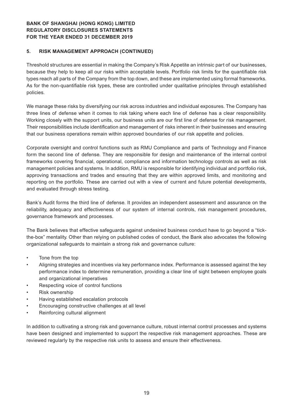#### **5. RISK MANAGEMENT APPROACH (CONTINUED)**

Threshold structures are essential in making the Company's Risk Appetite an intrinsic part of our businesses, because they help to keep all our risks within acceptable levels. Portfolio risk limits for the quantifiable risk types reach all parts of the Company from the top down, and these are implemented using formal frameworks. As for the non-quantifiable risk types, these are controlled under qualitative principles through established policies.

We manage these risks by diversifying our risk across industries and individual exposures. The Company has three lines of defense when it comes to risk taking where each line of defense has a clear responsibility. Working closely with the support units, our business units are our first line of defense for risk management. Their responsibilities include identification and management of risks inherent in their businesses and ensuring that our business operations remain within approved boundaries of our risk appetite and policies.

Corporate oversight and control functions such as RMU Compliance and parts of Technology and Finance form the second line of defense. They are responsible for design and maintenance of the internal control frameworks covering financial, operational, compliance and information technology controls as well as risk management policies and systems. In addition, RMU is responsible for identifying individual and portfolio risk, approving transactions and trades and ensuring that they are within approved limits, and monitoring and reporting on the portfolio. These are carried out with a view of current and future potential developments, and evaluated through stress testing.

Bank's Audit forms the third line of defense. It provides an independent assessment and assurance on the reliability, adequacy and effectiveness of our system of internal controls, risk management procedures, governance framework and processes.

The Bank believes that effective safeguards against undesired business conduct have to go beyond a "tickthe-box" mentality. Other than relying on published codes of conduct, the Bank also advocates the following organizational safeguards to maintain a strong risk and governance culture:

- • Tone from the top
- Aligning strategies and incentives via key performance index. Performance is assessed against the key performance index to determine remuneration, providing a clear line of sight between employee goals and organizational imperatives
- Respecting voice of control functions
- Risk ownership
- Having established escalation protocols
- Encouraging constructive challenges at all level
- Reinforcing cultural alignment

In addition to cultivating a strong risk and governance culture, robust internal control processes and systems have been designed and implemented to support the respective risk management approaches. These are reviewed regularly by the respective risk units to assess and ensure their effectiveness.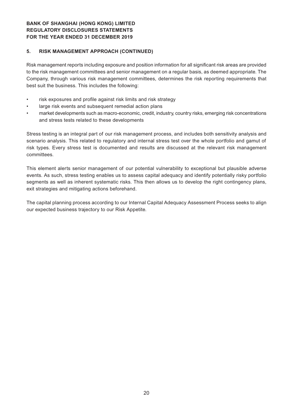#### **5. RISK MANAGEMENT APPROACH (CONTINUED)**

Risk management reports including exposure and position information for all significant risk areas are provided to the risk management committees and senior management on a regular basis, as deemed appropriate. The Company, through various risk management committees, determines the risk reporting requirements that best suit the business. This includes the following:

- risk exposures and profile against risk limits and risk strategy
- large risk events and subsequent remedial action plans
- market developments such as macro-economic, credit, industry, country risks, emerging risk concentrations and stress tests related to these developments

Stress testing is an integral part of our risk management process, and includes both sensitivity analysis and scenario analysis. This related to regulatory and internal stress test over the whole portfolio and gamut of risk types. Every stress test is documented and results are discussed at the relevant risk management committees.

This element alerts senior management of our potential vulnerability to exceptional but plausible adverse events. As such, stress testing enables us to assess capital adequacy and identify potentially risky portfolio segments as well as inherent systematic risks. This then allows us to develop the right contingency plans, exit strategies and mitigating actions beforehand.

The capital planning process according to our Internal Capital Adequacy Assessment Process seeks to align our expected business trajectory to our Risk Appetite.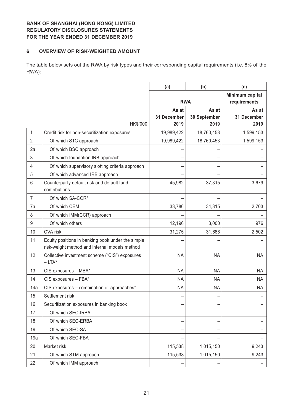#### **6 OVERVIEW OF RISK-WEIGHTED AMOUNT**

The table below sets out the RWA by risk types and their corresponding capital requirements (i.e. 8% of the RWA):

|                |                                                             | (a)         | (b)          | (c)                             |
|----------------|-------------------------------------------------------------|-------------|--------------|---------------------------------|
|                |                                                             | <b>RWA</b>  |              | Minimum capital<br>requirements |
|                |                                                             | As at       | As at        | As at                           |
|                |                                                             | 31 December | 30 September | 31 December                     |
|                | HK\$'000                                                    | 2019        | 2019         | 2019                            |
| 1              | Credit risk for non-securitization exposures                | 19,989,422  | 18,760,453   | 1,599,153                       |
| $\overline{2}$ | Of which STC approach                                       | 19,989,422  | 18,760,453   | 1,599,153                       |
| 2a             | Of which BSC approach                                       |             |              |                                 |
| 3              | Of which foundation IRB approach                            |             |              |                                 |
| 4              | Of which supervisory slotting criteria approach             |             |              |                                 |
| 5              | Of which advanced IRB approach                              |             |              |                                 |
| 6              | Counterparty default risk and default fund<br>contributions | 45,982      | 37,315       | 3,679                           |
| $\overline{7}$ | Of which SA-CCR*                                            |             |              |                                 |
| 7a             | Of which CEM                                                | 33,786      | 34,315       | 2,703                           |
| 8              | Of which IMM(CCR) approach                                  |             |              |                                 |
| 9              | Of which others                                             | 12,196      | 3,000        | 976                             |
| 10             | <b>CVA</b> risk                                             | 31,275      | 31,688       | 2,502                           |
| 11             | Equity positions in banking book under the simple           |             |              |                                 |
|                | risk-weight method and internal models method               |             |              |                                 |
| 12             | Collective investment scheme ("CIS") exposures<br>$-LTA^*$  | <b>NA</b>   | <b>NA</b>    | <b>NA</b>                       |
| 13             | CIS exposures - MBA*                                        | <b>NA</b>   | <b>NA</b>    | <b>NA</b>                       |
| 14             | CIS exposures - FBA*                                        | <b>NA</b>   | <b>NA</b>    | <b>NA</b>                       |
| 14a            | CIS exposures - combination of approaches*                  | <b>NA</b>   | <b>NA</b>    | <b>NA</b>                       |
| 15             | Settlement risk                                             |             |              |                                 |
| 16             | Securitization exposures in banking book                    | -           |              |                                 |
| 17             | Of which SEC-IRBA                                           |             |              |                                 |
| 18             | Of which SEC-ERBA                                           |             |              |                                 |
| 19             | Of which SEC-SA                                             |             |              |                                 |
| 19a            | Of which SEC-FBA                                            |             |              |                                 |
| 20             | Market risk                                                 | 115,538     | 1,015,150    | 9,243                           |
| 21             | Of which STM approach                                       | 115,538     | 1,015,150    | 9,243                           |
| 22             | Of which IMM approach                                       |             |              |                                 |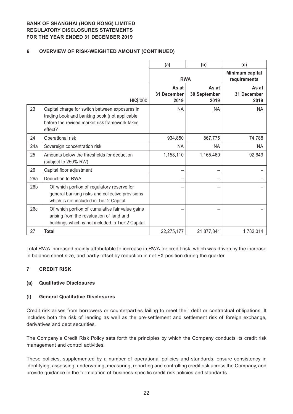## **6 OVERVIEW OF RISK-WEIGHTED AMOUNT (CONTINUED)**

|                 |                                                                                                                                                                             | (a)                          | (b)                           | (c)                                 |
|-----------------|-----------------------------------------------------------------------------------------------------------------------------------------------------------------------------|------------------------------|-------------------------------|-------------------------------------|
|                 |                                                                                                                                                                             | <b>RWA</b>                   |                               | Minimum capital<br>requirements     |
|                 | HK\$'000                                                                                                                                                                    | As at<br>31 December<br>2019 | As at<br>30 September<br>2019 | As at<br><b>31 December</b><br>2019 |
| 23              | Capital charge for switch between exposures in<br>trading book and banking book (not applicable<br>before the revised market risk framework takes<br>$effect)$ <sup>*</sup> | <b>NA</b>                    | <b>NA</b>                     | <b>NA</b>                           |
| 24              | Operational risk                                                                                                                                                            | 934,850                      | 867,775                       | 74,788                              |
| 24a             | Sovereign concentration risk                                                                                                                                                | <b>NA</b>                    | NA                            | <b>NA</b>                           |
| 25              | Amounts below the thresholds for deduction<br>(subject to 250% RW)                                                                                                          | 1,158,110                    | 1,165,460                     | 92,649                              |
| 26              | Capital floor adjustment                                                                                                                                                    |                              |                               |                                     |
| 26a             | Deduction to RWA                                                                                                                                                            |                              |                               |                                     |
| 26 <sub>b</sub> | Of which portion of regulatory reserve for<br>general banking risks and collective provisions<br>which is not included in Tier 2 Capital                                    |                              |                               |                                     |
| 26c             | Of which portion of cumulative fair value gains<br>arising from the revaluation of land and<br>buildings which is not included in Tier 2 Capital                            |                              |                               |                                     |
| 27              | <b>Total</b>                                                                                                                                                                | 22,275,177                   | 21,877,841                    | 1,782,014                           |

Total RWA increased mainly attributable to increase in RWA for credit risk, which was driven by the increase in balance sheet size, and partly offset by reduction in net FX position during the quarter.

#### **7 CREDIT RISK**

## **(a) Qualitative Disclosures**

#### **(i) General Qualitative Disclosures**

Credit risk arises from borrowers or counterparties failing to meet their debt or contractual obligations. It includes both the risk of lending as well as the pre-settlement and settlement risk of foreign exchange, derivatives and debt securities.

The Company's Credit Risk Policy sets forth the principles by which the Company conducts its credit risk management and control activities.

These policies, supplemented by a number of operational policies and standards, ensure consistency in identifying, assessing, underwriting, measuring, reporting and controlling credit risk across the Company, and provide guidance in the formulation of business-specific credit risk policies and standards.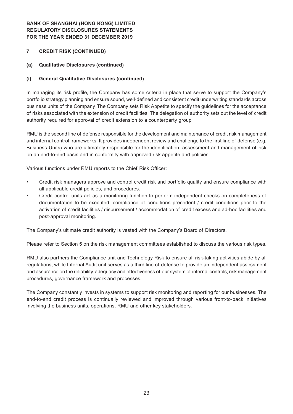## **7 CREDIT RISK (CONTINUED)**

#### **(a) Qualitative Disclosures (continued)**

#### **(i) General Qualitative Disclosures (continued)**

In managing its risk profile, the Company has some criteria in place that serve to support the Company's portfolio strategy planning and ensure sound, well-defined and consistent credit underwriting standards across business units of the Company. The Company sets Risk Appetite to specify the guidelines for the acceptance of risks associated with the extension of credit facilities. The delegation of authority sets out the level of credit authority required for approval of credit extension to a counterparty group.

RMU is the second line of defense responsible for the development and maintenance of credit risk management and internal control frameworks. It provides independent review and challenge to the first line of defense (e.g. Business Units) who are ultimately responsible for the identification, assessment and management of risk on an end-to-end basis and in conformity with approved risk appetite and policies.

Various functions under RMU reports to the Chief Risk Officer:

- Credit risk managers approve and control credit risk and portfolio quality and ensure compliance with all applicable credit policies, and procedures.
- Credit control units act as a monitoring function to perform independent checks on completeness of documentation to be executed, compliance of conditions precedent / credit conditions prior to the activation of credit facilities / disbursement / accommodation of credit excess and ad-hoc facilities and post-approval monitoring.

The Company's ultimate credit authority is vested with the Company's Board of Directors.

Please refer to Section 5 on the risk management committees established to discuss the various risk types.

RMU also partners the Compliance unit and Technology Risk to ensure all risk-taking activities abide by all regulations, while Internal Audit unit serves as a third line of defense to provide an independent assessment and assurance on the reliability, adequacy and effectiveness of our system of internal controls, risk management procedures, governance framework and processes.

The Company constantly invests in systems to support risk monitoring and reporting for our businesses. The end-to-end credit process is continually reviewed and improved through various front-to-back initiatives involving the business units, operations, RMU and other key stakeholders.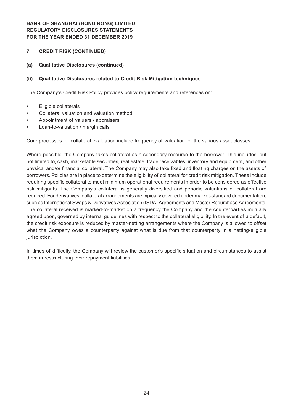#### **7 CREDIT RISK (CONTINUED)**

#### **(a) Qualitative Disclosures (continued)**

#### **(ii) Qualitative Disclosures related to Credit Risk Mitigation techniques**

The Company's Credit Risk Policy provides policy requirements and references on:

- • Eligible collaterals
- Collateral valuation and valuation method
- Appointment of valuers / appraisers
- Loan-to-valuation / margin calls

Core processes for collateral evaluation include frequency of valuation for the various asset classes.

Where possible, the Company takes collateral as a secondary recourse to the borrower. This includes, but not limited to, cash, marketable securities, real estate, trade receivables, inventory and equipment, and other physical and/or financial collateral. The Company may also take fixed and floating charges on the assets of borrowers. Policies are in place to determine the eligibility of collateral for credit risk mitigation. These include requiring specific collateral to meet minimum operational requirements in order to be considered as effective risk mitigants. The Company's collateral is generally diversified and periodic valuations of collateral are required. For derivatives, collateral arrangements are typically covered under market-standard documentation, such as International Swaps & Derivatives Association (ISDA) Agreements and Master Repurchase Agreements. The collateral received is marked-to-market on a frequency the Company and the counterparties mutually agreed upon, governed by internal guidelines with respect to the collateral eligibility. In the event of a default, the credit risk exposure is reduced by master-netting arrangements where the Company is allowed to offset what the Company owes a counterparty against what is due from that counterparty in a netting-eligible jurisdiction.

In times of difficulty, the Company will review the customer's specific situation and circumstances to assist them in restructuring their repayment liabilities.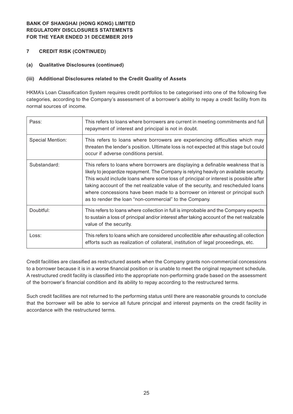- **7 CREDIT RISK (CONTINUED)**
- **(a) Qualitative Disclosures (continued)**

## **(iii) Additional Disclosures related to the Credit Quality of Assets**

HKMA's Loan Classification System requires credit portfolios to be categorised into one of the following five categories, according to the Company's assessment of a borrower's ability to repay a credit facility from its normal sources of income.

| Pass:            | This refers to loans where borrowers are current in meeting commitments and full<br>repayment of interest and principal is not in doubt.                                                                                                                                                                                                                                                                                                                                                        |
|------------------|-------------------------------------------------------------------------------------------------------------------------------------------------------------------------------------------------------------------------------------------------------------------------------------------------------------------------------------------------------------------------------------------------------------------------------------------------------------------------------------------------|
| Special Mention: | This refers to loans where borrowers are experiencing difficulties which may<br>threaten the lender's position. Ultimate loss is not expected at this stage but could<br>occur if adverse conditions persist.                                                                                                                                                                                                                                                                                   |
| Substandard:     | This refers to loans where borrowers are displaying a definable weakness that is<br>likely to jeopardize repayment. The Company is relying heavily on available security.<br>This would include loans where some loss of principal or interest is possible after<br>taking account of the net realizable value of the security, and rescheduled loans<br>where concessions have been made to a borrower on interest or principal such<br>as to render the loan "non-commercial" to the Company. |
| Doubtful:        | This refers to loans where collection in full is improbable and the Company expects<br>to sustain a loss of principal and/or interest after taking account of the net realizable<br>value of the security.                                                                                                                                                                                                                                                                                      |
| Loss:            | This refers to loans which are considered uncollectible after exhausting all collection<br>efforts such as realization of collateral, institution of legal proceedings, etc.                                                                                                                                                                                                                                                                                                                    |

Credit facilities are classified as restructured assets when the Company grants non-commercial concessions to a borrower because it is in a worse financial position or is unable to meet the original repayment schedule. A restructured credit facility is classified into the appropriate non-performing grade based on the assessment of the borrower's financial condition and its ability to repay according to the restructured terms.

Such credit facilities are not returned to the performing status until there are reasonable grounds to conclude that the borrower will be able to service all future principal and interest payments on the credit facility in accordance with the restructured terms.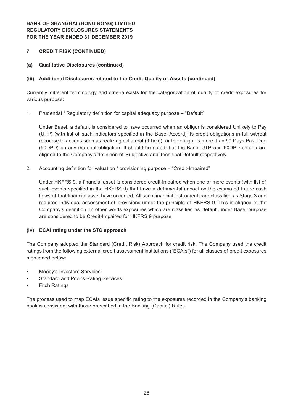## **7 CREDIT RISK (CONTINUED)**

**(a) Qualitative Disclosures (continued)**

## **(iii) Additional Disclosures related to the Credit Quality of Assets (continued)**

Currently, different terminology and criteria exists for the categorization of quality of credit exposures for various purpose:

1. Prudential / Regulatory definition for capital adequacy purpose - "Default"

Under Basel, a default is considered to have occurred when an obligor is considered Unlikely to Pay (UTP) (with list of such indicators specified in the Basel Accord) its credit obligations in full without recourse to actions such as realizing collateral (if held), or the obligor is more than 90 Days Past Due (90DPD) on any material obligation. It should be noted that the Basel UTP and 90DPD criteria are aligned to the Company's definition of Subjective and Technical Default respectively.

2. Accounting definition for valuation / provisioning purpose – "Credit-Impaired"

Under HKFRS 9, a financial asset is considered credit-impaired when one or more events (with list of such events specified in the HKFRS 9) that have a detrimental impact on the estimated future cash flows of that financial asset have occurred. All such financial instruments are classified as Stage 3 and requires individual assessment of provisions under the principle of HKFRS 9. This is aligned to the Company's definition. In other words exposures which are classified as Default under Basel purpose are considered to be Credit-Impaired for HKFRS 9 purpose.

#### **(iv) ECAI rating under the STC approach**

The Company adopted the Standard (Credit Risk) Approach for credit risk. The Company used the credit ratings from the following external credit assessment institutions ("ECAIs") for all classes of credit exposures mentioned below:

- Moody's Investors Services
- Standard and Poor's Rating Services
- **Fitch Ratings**

The process used to map ECAIs issue specific rating to the exposures recorded in the Company's banking book is consistent with those prescribed in the Banking (Capital) Rules.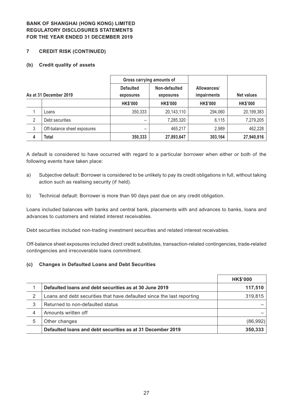#### **7 CREDIT RISK (CONTINUED)**

#### **(b) Credit quality of assets**

|   |                             | Gross carrying amounts of     |                            |                                   |                   |
|---|-----------------------------|-------------------------------|----------------------------|-----------------------------------|-------------------|
|   | As at 31 December 2019      | <b>Defaulted</b><br>exposures | Non-defaulted<br>exposures | Allowances/<br><i>impairments</i> | <b>Net values</b> |
|   |                             | <b>HK\$'000</b>               | <b>HK\$'000</b>            | <b>HK\$'000</b>                   | <b>HK\$'000</b>   |
|   | Loans                       | 350,333                       | 20,143,110                 | 294,060                           | 20,199,383        |
| 2 | Debt securities             | -                             | 7,285,320                  | 6,115                             | 7,279,205         |
| 3 | Off-balance sheet exposures | -                             | 465,217                    | 2,989                             | 462,228           |
| 4 | Total                       | 350,333                       | 27,893,647                 | 303,164                           | 27,940,816        |

A default is considered to have occurred with regard to a particular borrower when either or both of the following events have taken place:

- a) Subjective default: Borrower is considered to be unlikely to pay its credit obligations in full, without taking action such as realising security (if held).
- b) Technical default: Borrower is more than 90 days past due on any credit obligation.

Loans included balances with banks and central bank, placements with and advances to banks, loans and advances to customers and related interest receivables.

Debt securities included non-trading investment securities and related interest receivables.

Off-balance sheet exposures included direct credit substitutes, transaction-related contingencies, trade-related contingencies and irrecoverable loans commitment.

#### **(c) Changes in Defaulted Loans and Debt Securities**

|   |                                                                        | <b>HK\$'000</b> |
|---|------------------------------------------------------------------------|-----------------|
|   | Defaulted loans and debt securities as at 30 June 2019                 | 117,510         |
| 2 | Loans and debt securities that have defaulted since the last reporting | 319,815         |
| 3 | Returned to non-defaulted status                                       |                 |
| 4 | Amounts written off                                                    |                 |
| 5 | Other changes                                                          | (86,992)        |
|   | Defaulted loans and debt securities as at 31 December 2019             | 350,333         |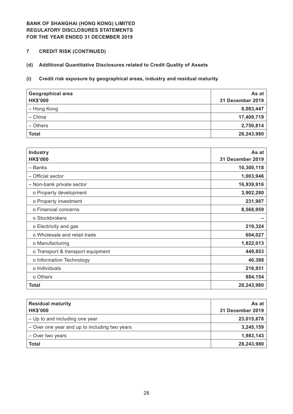**7 CREDIT RISK (CONTINUED)**

# **(d) Additional Quantitative Disclosures related to Credit Quality of Assets**

## **(i) Credit risk exposure by geographical areas, industry and residual maturity**

| <b>Geographical area</b><br><b>HK\$'000</b> | As at<br><b>31 December 2019</b> |
|---------------------------------------------|----------------------------------|
| - Hong Kong                                 | 8,083,447                        |
| - China                                     | 17,409,719                       |
| - Others                                    | 2,750,814                        |
| <b>Total</b>                                | 28,243,980                       |

| <b>Industry</b><br><b>HK\$'000</b> | As at<br>31 December 2019 |
|------------------------------------|---------------------------|
| - Banks                            | 10,300,118                |
| - Official sector                  | 1,003,946                 |
| - Non-bank private sector          | 16,939,916                |
| o Property development             | 3,902,280                 |
| o Property investment              | 231,987                   |
| o Financial concerns               | 8,568,959                 |
| o Stockbrokers                     |                           |
| o Electricity and gas              | 219,324                   |
| o Wholesale and retail trade       | 604,027                   |
| o Manufacturing                    | 1,822,013                 |
| o Transport & transport equipment  | 449,853                   |
| o Information Technology           | 40,388                    |
| o Individuals                      | 216,931                   |
| o Others                           | 884,154                   |
| <b>Total</b>                       | 28,243,980                |

| <b>Residual maturity</b><br><b>HK\$'000</b>   | As at<br>31 December 2019 |
|-----------------------------------------------|---------------------------|
| - Up to and including one year                | 23,015,678                |
| - Over one year and up to including two years | 3,245,159                 |
| - Over two years                              | 1,983,143                 |
| <b>Total</b>                                  | 28,243,980                |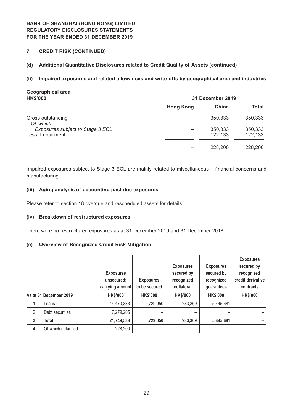**7 CREDIT RISK (CONTINUED)**

#### **(d) Additional Quantitative Disclosures related to Credit Quality of Assets (continued)**

#### **(ii) Impaired exposures and related allowances and write-offs by geographical area and industries**

# **Geographical area**

| <b>HK\$'000</b>                  |                  | 31 December 2019 |         |
|----------------------------------|------------------|------------------|---------|
|                                  | <b>Hong Kong</b> | China            | Total   |
| Gross outstanding<br>Of which:   |                  | 350,333          | 350,333 |
| Exposures subject to Stage 3 ECL |                  | 350,333          | 350,333 |
| Less: Impairment                 |                  | 122,133          | 122,133 |
|                                  |                  | 228,200          | 228,200 |

Impaired exposures subject to Stage 3 ECL are mainly related to miscellaneous – financial concerns and manufacturing.

#### **(iii) Aging analysis of accounting past due exposures**

Please refer to section 18 overdue and rescheduled assets for details.

#### **(iv) Breakdown of restructured exposures**

There were no restructured exposures as at 31 December 2019 and 31 December 2018.

#### **(e) Overview of Recognized Credit Risk Mitigation**

|              |                        | <b>Exposures</b><br>unsecured:<br>carrying amount | <b>Exposures</b><br>to be secured | <b>Exposures</b><br>secured by<br>recognized<br>collateral | <b>Exposures</b><br>secured by<br>recognized<br>guarantees | <b>Exposures</b><br>secured by<br>recognized<br>credit derivative<br>contracts |
|--------------|------------------------|---------------------------------------------------|-----------------------------------|------------------------------------------------------------|------------------------------------------------------------|--------------------------------------------------------------------------------|
|              | As at 31 December 2019 | <b>HK\$'000</b>                                   | <b>HK\$'000</b>                   | <b>HK\$'000</b>                                            | <b>HK\$'000</b>                                            | <b>HK\$'000</b>                                                                |
|              | Loans                  | 14,470,333                                        | 5,729,050                         | 283,369                                                    | 5,445,681                                                  |                                                                                |
| 2            | Debt securities        | 7,279,205                                         |                                   |                                                            |                                                            |                                                                                |
| $\mathbf{3}$ | <b>Total</b>           | 21,749,538                                        | 5,729,050                         | 283,369                                                    | 5,445,681                                                  |                                                                                |
| 4            | Of which defaulted     | 228,200                                           |                                   |                                                            |                                                            |                                                                                |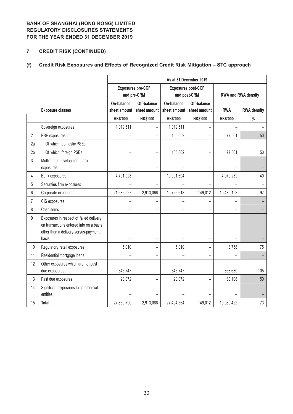# **7 CREDIT RISK (CONTINUED)**

# **(f) Credit Risk Exposures and Effects of Recognized Credit Risk Mitigation – STC approach**

|                |                                                                                                                                     | As at 31 December 2019     |                                         |                            |                             |                 |                    |  |  |
|----------------|-------------------------------------------------------------------------------------------------------------------------------------|----------------------------|-----------------------------------------|----------------------------|-----------------------------|-----------------|--------------------|--|--|
|                |                                                                                                                                     |                            | <b>Exposures pre-CCF</b><br>and pre-CRM |                            | RWA and RWA density         |                 |                    |  |  |
|                | <b>Exposure classes</b>                                                                                                             | On-balance<br>sheet amount | Off-balance<br>sheet amount             | On-balance<br>sheet amount | Off-balance<br>sheet amount | <b>RWA</b>      | <b>RWA density</b> |  |  |
|                |                                                                                                                                     | <b>HK\$'000</b>            | <b>HK\$'000</b>                         | <b>HK\$'000</b>            | <b>HK\$'000</b>             | <b>HK\$'000</b> | $\%$               |  |  |
| $\mathbf{1}$   | Sovereign exposures                                                                                                                 | 1,019,511                  | $\qquad \qquad -$                       | 1,019,511                  | —                           |                 |                    |  |  |
| 2              | PSE exposures                                                                                                                       |                            | ÷                                       | 155,002                    |                             | 77,501          | 50                 |  |  |
| 2a             | Of which: domestic PSEs                                                                                                             | $\overline{\phantom{0}}$   | $\overline{\phantom{0}}$                |                            |                             |                 |                    |  |  |
| 2 <sub>b</sub> | Of which: foreign PSEs                                                                                                              |                            |                                         | 155,002                    |                             | 77,501          | 50                 |  |  |
| 3              | Multilateral development bank<br>exposures                                                                                          |                            | $\overline{\phantom{0}}$                |                            |                             |                 |                    |  |  |
| 4              | Bank exposures                                                                                                                      | 4,791,923                  | $\qquad \qquad -$                       | 10,091,604                 |                             | 4,079,232       | 40                 |  |  |
| 5              | Securities firm exposures                                                                                                           |                            |                                         |                            |                             |                 |                    |  |  |
| 6              | Corporate exposures                                                                                                                 | 21,686,527                 | 2,913,066                               | 15,766,618                 | 149,012                     | 15,435,193      | 97                 |  |  |
| 7              | CIS exposures                                                                                                                       |                            |                                         |                            |                             |                 |                    |  |  |
| 8              | Cash items                                                                                                                          |                            |                                         |                            |                             |                 |                    |  |  |
| 9              | Exposures in respect of failed delivery<br>on transactions entered into on a basis<br>other than a delivery-versus-payment<br>basis |                            | $\overline{\phantom{0}}$                |                            |                             |                 |                    |  |  |
| 10             | Regulatory retail exposures                                                                                                         | 5,010                      | $\overline{\phantom{0}}$                | 5,010                      |                             | 3,758           | 75                 |  |  |
| 11             | Residential mortgage loans                                                                                                          |                            | $\overline{\phantom{0}}$                |                            |                             |                 |                    |  |  |
| 12             | Other exposures which are not past<br>due exposures                                                                                 | 346,747                    | $\overline{\phantom{0}}$                | 346,747                    |                             | 363,630         | 105                |  |  |
| 13             | Past due exposures                                                                                                                  | 20,072                     | $\overline{\phantom{0}}$                | 20,072                     |                             | 30,108          | 150                |  |  |
| 14             | Significant exposures to commercial<br>entities                                                                                     |                            |                                         |                            |                             |                 |                    |  |  |
| 15             | <b>Total</b>                                                                                                                        | 27,869,790                 | 2,913,066                               | 27,404,564                 | 149,012                     | 19,989,422      | 73                 |  |  |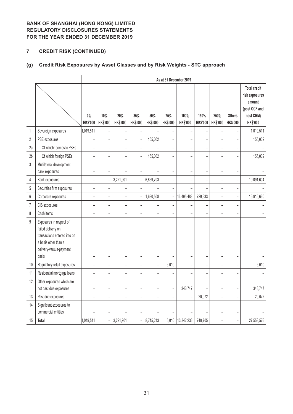# **7 CREDIT RISK (CONTINUED)**

# **(g) Credit Risk Exposures by Asset Classes and by Risk Weights - STC approach**

|                  |                                                                                                                                           |                          |                          |                        |                          |                        |                        | As at 31 December 2019   |                          |                          |                                  |                                                                                                  |
|------------------|-------------------------------------------------------------------------------------------------------------------------------------------|--------------------------|--------------------------|------------------------|--------------------------|------------------------|------------------------|--------------------------|--------------------------|--------------------------|----------------------------------|--------------------------------------------------------------------------------------------------|
|                  |                                                                                                                                           | $0\%$<br><b>HK\$'000</b> | 10%<br>HK\$'000          | 20%<br><b>HK\$'000</b> | 35%<br><b>HK\$'000</b>   | 50%<br><b>HK\$'000</b> | 75%<br><b>HK\$'000</b> | 100%<br>HK\$'000         | 150%<br><b>HK\$'000</b>  | 250%<br>HK\$'000         | <b>Others</b><br><b>HK\$'000</b> | <b>Total credit</b><br>risk exposures<br>amount<br>(post CCF and<br>post CRM)<br><b>HK\$'000</b> |
| $\mathbf 1$      | Sovereign exposures                                                                                                                       | 1,019,511                |                          |                        |                          |                        |                        | $\overline{a}$           |                          |                          |                                  | 1,019,511                                                                                        |
| $\sqrt{2}$       | PSE exposures                                                                                                                             |                          |                          |                        |                          | 155,002                |                        |                          |                          |                          |                                  | 155,002                                                                                          |
| 2a               | Of which: domestic PSEs                                                                                                                   | $\overline{\phantom{0}}$ |                          |                        |                          |                        |                        | -                        | $\overline{\phantom{0}}$ | ÷                        |                                  |                                                                                                  |
| 2 <sub>b</sub>   | Of which foreign PSEs                                                                                                                     |                          |                          |                        |                          | 155,002                |                        |                          | $\overline{\phantom{0}}$ |                          |                                  | 155,002                                                                                          |
| $\mathfrak{z}$   | Multilateral development<br>bank exposures                                                                                                | -                        |                          |                        |                          |                        | -                      | $\overline{\phantom{0}}$ | $\overline{\phantom{0}}$ | <b>-</b>                 |                                  |                                                                                                  |
| 4                | Bank exposures                                                                                                                            | $\overline{a}$           | $\overline{a}$           | 3,221,901              |                          | 6,869,703              | ÷                      | $\overline{a}$           | $\overline{a}$           | $\overline{a}$           | L.                               | 10,091,604                                                                                       |
| $5\,$            | Securities firm exposures                                                                                                                 | $\overline{\phantom{0}}$ | $\overline{\phantom{0}}$ | -                      |                          |                        |                        | $\overline{\phantom{0}}$ | $\overline{a}$           | -                        | $\overline{\phantom{0}}$         |                                                                                                  |
| $\boldsymbol{6}$ | Corporate exposures                                                                                                                       | $\overline{a}$           | $\overline{a}$           | -                      | $\overline{\phantom{0}}$ | 1,690,508              | -                      | 13,495,489               | 729,633                  | $\overline{\phantom{0}}$ | $\overline{\phantom{0}}$         | 15,915,630                                                                                       |
| $\overline{7}$   | CIS exposures                                                                                                                             | $\overline{a}$           | $\overline{a}$           | -                      | $\overline{a}$           |                        |                        |                          | $\overline{\phantom{0}}$ | $\overline{\phantom{0}}$ | $\overline{a}$                   |                                                                                                  |
| 8                | Cash items                                                                                                                                |                          |                          |                        |                          |                        |                        |                          |                          |                          |                                  |                                                                                                  |
| $\mathsf g$      | Exposures in respect of<br>failed delivery on<br>transactions entered into on<br>a basis other than a<br>delivery-versus-payment<br>basis |                          |                          |                        |                          |                        |                        |                          |                          |                          |                                  |                                                                                                  |
| $10$             | Regulatory retail exposures                                                                                                               | $\overline{\phantom{0}}$ |                          | -                      |                          | $\overline{a}$         | 5,010                  | $\overline{\phantom{0}}$ | -                        | $\overline{\phantom{0}}$ |                                  | 5,010                                                                                            |
| 11               | Residential mortgage loans                                                                                                                |                          |                          |                        |                          |                        |                        |                          |                          |                          |                                  |                                                                                                  |
| 12               | Other exposures which are<br>not past due exposures                                                                                       | $\overline{a}$           | $\overline{\phantom{0}}$ |                        | $\overline{\phantom{0}}$ |                        |                        | 346,747                  |                          |                          | $\overline{\phantom{0}}$         | 346,747                                                                                          |
| 13               | Past due exposures                                                                                                                        |                          |                          |                        |                          |                        |                        |                          | 20,072                   | L                        | $\overline{a}$                   | 20,072                                                                                           |
| 14               | Significant exposures to<br>commercial entities                                                                                           |                          |                          |                        |                          |                        |                        |                          |                          |                          |                                  |                                                                                                  |
| 15               | <b>Total</b>                                                                                                                              | 1,019,511                | $\overline{\phantom{0}}$ | 3,221,901              | $\overline{a}$           | 8,715,213              | 5,010                  | 13,842,236               | 749,705                  | -                        | -                                | 27,553,576                                                                                       |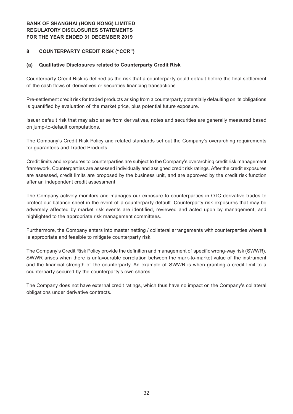#### **8 COUNTERPARTY CREDIT RISK ("CCR")**

#### **(a) Qualitative Disclosures related to Counterparty Credit Risk**

Counterparty Credit Risk is defined as the risk that a counterparty could default before the final settlement of the cash flows of derivatives or securities financing transactions.

Pre-settlement credit risk for traded products arising from a counterparty potentially defaulting on its obligations is quantified by evaluation of the market price, plus potential future exposure.

Issuer default risk that may also arise from derivatives, notes and securities are generally measured based on jump-to-default computations.

The Company's Credit Risk Policy and related standards set out the Company's overarching requirements for guarantees and Traded Products.

Credit limits and exposures to counterparties are subject to the Company's overarching credit risk management framework. Counterparties are assessed individually and assigned credit risk ratings. After the credit exposures are assessed, credit limits are proposed by the business unit, and are approved by the credit risk function after an independent credit assessment.

The Company actively monitors and manages our exposure to counterparties in OTC derivative trades to protect our balance sheet in the event of a counterparty default. Counterparty risk exposures that may be adversely affected by market risk events are identified, reviewed and acted upon by management, and highlighted to the appropriate risk management committees.

Furthermore, the Company enters into master netting / collateral arrangements with counterparties where it is appropriate and feasible to mitigate counterparty risk.

The Company's Credit Risk Policy provide the definition and management of specific wrong-way risk (SWWR). SWWR arises when there is unfavourable correlation between the mark-to-market value of the instrument and the financial strength of the counterparty. An example of SWWR is when granting a credit limit to a counterparty secured by the counterparty's own shares.

The Company does not have external credit ratings, which thus have no impact on the Company's collateral obligations under derivative contracts.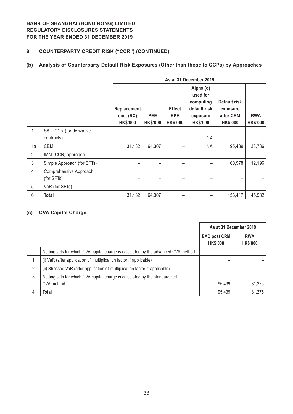# **8 COUNTERPARTY CREDIT RISK ("CCR") (CONTINUED)**

# **(b) Analysis of Counterparty Default Risk Exposures (Other than those to CCPs) by Approaches**

|                |                                      | As at 31 December 2019                      |                               |                                                |                                                                                          |                                                          |                               |  |  |
|----------------|--------------------------------------|---------------------------------------------|-------------------------------|------------------------------------------------|------------------------------------------------------------------------------------------|----------------------------------------------------------|-------------------------------|--|--|
|                |                                      | Replacement<br>cost (RC)<br><b>HK\$'000</b> | <b>PEE</b><br><b>HK\$'000</b> | <b>Effect</b><br><b>EPE</b><br><b>HK\$'000</b> | Alpha $(\alpha)$<br>used for<br>computing<br>default risk<br>exposure<br><b>HK\$'000</b> | Default risk<br>exposure<br>after CRM<br><b>HK\$'000</b> | <b>RWA</b><br><b>HK\$'000</b> |  |  |
| 1              | SA - CCR (for derivative             |                                             |                               |                                                |                                                                                          |                                                          |                               |  |  |
|                | contracts)                           |                                             |                               |                                                | 1.4                                                                                      |                                                          |                               |  |  |
| 1a             | <b>CEM</b>                           | 31,132                                      | 64,307                        |                                                | <b>NA</b>                                                                                | 95,439                                                   | 33,786                        |  |  |
| 2              | IMM (CCR) approach                   |                                             |                               |                                                |                                                                                          |                                                          |                               |  |  |
| $\mathfrak{Z}$ | Simple Approach (for SFTs)           |                                             |                               |                                                |                                                                                          | 60,978                                                   | 12,196                        |  |  |
| $\overline{4}$ | Comprehensive Approach<br>(for SFTs) |                                             | —                             |                                                |                                                                                          |                                                          |                               |  |  |
| $\overline{5}$ | VaR (for SFTs)                       |                                             | -                             |                                                |                                                                                          |                                                          |                               |  |  |
| 6              | <b>Total</b>                         | 31,132                                      | 64,307                        |                                                |                                                                                          | 156,417                                                  | 45,982                        |  |  |

#### **(c) CVA Capital Charge**

|   |                                                                                    | As at 31 December 2019                 |                               |
|---|------------------------------------------------------------------------------------|----------------------------------------|-------------------------------|
|   |                                                                                    | <b>EAD post CRM</b><br><b>HK\$'000</b> | <b>RWA</b><br><b>HK\$'000</b> |
|   | Netting sets for which CVA capital charge is calculated by the advanced CVA method |                                        |                               |
|   | (i) VaR (after application of multiplication factor if applicable)                 | -                                      |                               |
| 2 | (ii) Stressed VaR (after application of multiplication factor if applicable)       |                                        |                               |
| 3 | Netting sets for which CVA capital charge is calculated by the standardized        |                                        |                               |
|   | CVA method                                                                         | 95,439                                 | 31,275                        |
| 4 | Total                                                                              | 95,439                                 | 31,275                        |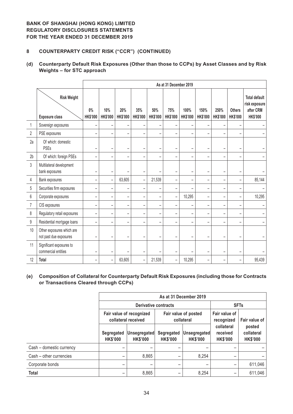## **8 COUNTERPARTY CREDIT RISK ("CCR") (CONTINUED)**

## **(d) Counterparty Default Risk Exposures (Other than those to CCPs) by Asset Classes and by Risk Weights – for STC approach**

|                |                                                     |                          | As at 31 December 2019   |                          |                          |                        |                          |                          |                          |                          |                                  |                                                                       |
|----------------|-----------------------------------------------------|--------------------------|--------------------------|--------------------------|--------------------------|------------------------|--------------------------|--------------------------|--------------------------|--------------------------|----------------------------------|-----------------------------------------------------------------------|
|                | <b>Risk Weight</b><br><b>Exposure class</b>         | $0\%$<br>HK\$'000        | 10%<br><b>HK\$'000</b>   | 20%<br><b>HK\$'000</b>   | 35%<br><b>HK\$'000</b>   | 50%<br><b>HK\$'000</b> | 75%<br><b>HK\$'000</b>   | 100%<br><b>HK\$'000</b>  | 150%<br><b>HK\$'000</b>  | 250%<br><b>HK\$'000</b>  | <b>Others</b><br><b>HK\$'000</b> | <b>Total default</b><br>risk exposure<br>after CRM<br><b>HK\$'000</b> |
| 1              | Sovereign exposures                                 |                          | $\qquad \qquad -$        |                          |                          |                        |                          |                          |                          |                          |                                  |                                                                       |
| $\overline{2}$ | PSE exposures                                       | $\overline{\phantom{0}}$ | $\qquad \qquad -$        | $\overline{\phantom{0}}$ | $\qquad \qquad -$        |                        | $\overline{\phantom{0}}$ |                          | $\equiv$                 |                          | $\overline{\phantom{0}}$         |                                                                       |
| 2a             | Of which: domestic<br>PSEs                          | $\overline{\phantom{0}}$ | $\qquad \qquad -$        | $\equiv$                 | $\overline{\phantom{0}}$ |                        | $\overline{\phantom{0}}$ |                          | $\overline{\phantom{a}}$ |                          | $\overline{\phantom{a}}$         |                                                                       |
| 2 <sub>b</sub> | Of which: foreign PSEs                              |                          | $\overline{\phantom{0}}$ |                          | $\overline{\phantom{0}}$ |                        |                          |                          |                          |                          |                                  |                                                                       |
| $\overline{3}$ | Multilateral development<br>bank exposures          |                          | $\overline{\phantom{0}}$ |                          | $\overline{\phantom{0}}$ |                        | $\overline{\phantom{0}}$ |                          | $\overline{\phantom{0}}$ |                          |                                  |                                                                       |
| 4              | Bank exposures                                      | $\overline{\phantom{0}}$ | $\qquad \qquad -$        | 63,605                   | $\qquad \qquad -$        | 21,539                 | $\overline{\phantom{m}}$ | $\overline{\phantom{m}}$ | $\overline{\phantom{m}}$ | $\overline{\phantom{m}}$ | $\overline{\phantom{m}}$         | 85,144                                                                |
| 5              | Securities firm exposures                           | -                        | $\overline{\phantom{0}}$ |                          | -                        |                        | $\overline{\phantom{0}}$ |                          | ۰                        |                          | $\overline{\phantom{0}}$         |                                                                       |
| 6              | Corporate exposures                                 |                          | $\overline{\phantom{0}}$ |                          | $\overline{\phantom{0}}$ |                        | $\qquad \qquad -$        | 10,295                   |                          |                          |                                  | 10,295                                                                |
| 7              | CIS exposures                                       | $\overline{\phantom{0}}$ | $\qquad \qquad -$        | $\overline{\phantom{0}}$ | $\qquad \qquad -$        |                        | $\overline{\phantom{0}}$ |                          | $\overline{\phantom{0}}$ |                          | $\qquad \qquad$                  |                                                                       |
| 8              | Regulatory retail exposures                         | $\overline{\phantom{0}}$ | -                        | $\overline{\phantom{0}}$ | -                        |                        | $\overline{\phantom{0}}$ |                          | $\overline{\phantom{0}}$ | $\overline{\phantom{0}}$ | $\overline{\phantom{0}}$         |                                                                       |
| 9              | Residential mortgage loans                          |                          | $\overline{\phantom{0}}$ |                          |                          |                        |                          |                          |                          |                          |                                  |                                                                       |
| 10             | Other exposures which are<br>not past due exposures |                          | -                        |                          |                          |                        |                          |                          |                          |                          |                                  |                                                                       |
| 11             | Significant exposures to<br>commercial entities     |                          | $\overline{\phantom{0}}$ |                          | -                        |                        | $\overline{\phantom{0}}$ |                          |                          |                          |                                  |                                                                       |
| 12             | Total                                               | -                        | -                        | 63,605                   | $\qquad \qquad -$        | 21,539                 | $\overline{\phantom{a}}$ | 10,295                   | $\equiv$                 |                          |                                  | 95,439                                                                |

#### **(e) Composition of Collateral for Counterparty Default Risk Exposures (including those for Contracts or Transactions Cleared through CCPs)**

|                          | As at 31 December 2019        |                                                                                       |                               |                                 |                                           |                                         |  |  |
|--------------------------|-------------------------------|---------------------------------------------------------------------------------------|-------------------------------|---------------------------------|-------------------------------------------|-----------------------------------------|--|--|
|                          |                               | <b>Derivative contracts</b>                                                           |                               |                                 | <b>SFTs</b>                               |                                         |  |  |
|                          |                               | Fair value of recognized<br>Fair value of posted<br>collateral received<br>collateral |                               |                                 | Fair value of<br>recognized               | Fair value of                           |  |  |
|                          | Segregated<br><b>HK\$'000</b> | Unsegregated<br><b>HK\$'000</b>                                                       | Segregated<br><b>HK\$'000</b> | Unsegregated<br><b>HK\$'000</b> | collateral<br>received<br><b>HK\$'000</b> | posted<br>collateral<br><b>HK\$'000</b> |  |  |
| Cash - domestic currency |                               |                                                                                       |                               |                                 |                                           |                                         |  |  |
| Cash - other currencies  | -                             | 8,865                                                                                 | -                             | 8,254                           |                                           |                                         |  |  |
| Corporate bonds          | -                             |                                                                                       |                               | -                               |                                           | 611,046                                 |  |  |
| <b>Total</b>             | -                             | 8,865                                                                                 |                               | 8,254                           |                                           | 611,046                                 |  |  |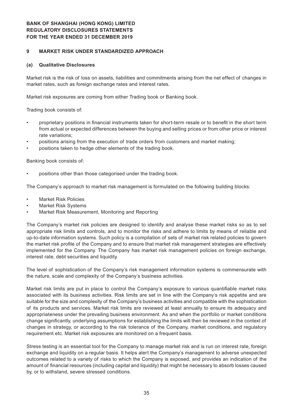#### **9 MARKET RISK UNDER STANDARDIZED APPROACH**

#### **(a) Qualitative Disclosures**

Market risk is the risk of loss on assets, liabilities and commitments arising from the net effect of changes in market rates, such as foreign exchange rates and interest rates.

Market risk exposures are coming from either Trading book or Banking book.

Trading book consists of:

- proprietary positions in financial instruments taken for short-term resale or to benefit in the short term from actual or expected differences between the buying and selling prices or from other price or interest rate variations;
- positions arising from the execution of trade orders from customers and market making;
- positions taken to hedge other elements of the trading book.

Banking book consists of:

positions other than those categorised under the trading book.

The Company's approach to market risk management is formulated on the following building blocks:

- **Market Risk Policies**
- **Market Risk Systems**
- Market Risk Measurement, Monitoring and Reporting

The Company's market risk policies are designed to identify and analyse these market risks so as to set appropriate risk limits and controls, and to monitor the risks and adhere to limits by means of reliable and up-to-date information systems. Such policy is a compilation of sets of market risk related policies to govern the market risk profile of the Company and to ensure that market risk management strategies are effectively implemented for the Company. The Company has market risk management policies on foreign exchange, interest rate, debt securities and liquidity.

The level of sophistication of the Company's risk management information systems is commensurate with the nature, scale and complexity of the Company's business activities.

Market risk limits are put in place to control the Company's exposure to various quantifiable market risks associated with its business activities. Risk limits are set in line with the Company's risk appetite and are suitable for the size and complexity of the Company's business activities and compatible with the sophistication of its products and services. Market risk limits are reviewed at least annually to ensure its adequacy and appropriateness under the prevailing business environment. As and when the portfolio or market conditions change significantly, underlying assumptions for establishing the limits will then be reviewed in the context of changes in strategy, or according to the risk tolerance of the Company, market conditions, and regulatory requirement etc. Market risk exposures are monitored on a frequent basis.

Stress testing is an essential tool for the Company to manage market risk and is run on interest rate, foreign exchange and liquidity on a regular basis. It helps alert the Company's management to adverse unexpected outcomes related to a variety of risks to which the Company is exposed, and provides an indication of the amount of financial resources (including capital and liquidity) that might be necessary to absorb losses caused by, or to withstand, severe stressed conditions.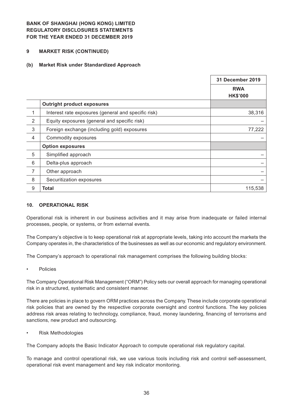#### **9 MARKET RISK (CONTINUED)**

#### **(b) Market Risk under Standardized Approach**

|                |                                                     | <b>31 December 2019</b>       |
|----------------|-----------------------------------------------------|-------------------------------|
|                |                                                     | <b>RWA</b><br><b>HK\$'000</b> |
|                | <b>Outright product exposures</b>                   |                               |
| 1              | Interest rate exposures (general and specific risk) | 38,316                        |
| $\overline{2}$ | Equity exposures (general and specific risk)        |                               |
| 3              | Foreign exchange (including gold) exposures         | 77,222                        |
| $\overline{4}$ | Commodity exposures                                 |                               |
|                | <b>Option exposures</b>                             |                               |
| 5              | Simplified approach                                 |                               |
| 6              | Delta-plus approach                                 |                               |
| $\overline{7}$ | Other approach                                      |                               |
| 8              | Securitization exposures                            |                               |
| 9              | <b>Total</b>                                        | 115,538                       |

#### **10. OPERATIONAL RISK**

Operational risk is inherent in our business activities and it may arise from inadequate or failed internal processes, people, or systems, or from external events.

The Company's objective is to keep operational risk at appropriate levels, taking into account the markets the Company operates in, the characteristics of the businesses as well as our economic and regulatory environment.

The Company's approach to operational risk management comprises the following building blocks:

**Policies** 

The Company Operational Risk Management ("ORM") Policy sets our overall approach for managing operational risk in a structured, systematic and consistent manner.

There are policies in place to govern ORM practices across the Company. These include corporate operational risk policies that are owned by the respective corporate oversight and control functions. The key policies address risk areas relating to technology, compliance, fraud, money laundering, financing of terrorisms and sanctions, new product and outsourcing.

**Risk Methodologies** 

The Company adopts the Basic Indicator Approach to compute operational risk regulatory capital.

To manage and control operational risk, we use various tools including risk and control self-assessment, operational risk event management and key risk indicator monitoring.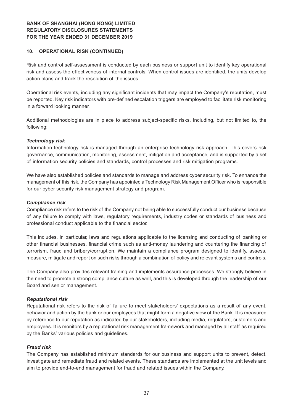#### **10. OPERATIONAL RISK (CONTINUED)**

Risk and control self-assessment is conducted by each business or support unit to identify key operational risk and assess the effectiveness of internal controls. When control issues are identified, the units develop action plans and track the resolution of the issues.

Operational risk events, including any significant incidents that may impact the Company's reputation, must be reported. Key risk indicators with pre-defined escalation triggers are employed to facilitate risk monitoring in a forward looking manner.

Additional methodologies are in place to address subject-specific risks, including, but not limited to, the following:

#### *Technology risk*

Information technology risk is managed through an enterprise technology risk approach. This covers risk governance, communication, monitoring, assessment, mitigation and acceptance, and is supported by a set of information security policies and standards, control processes and risk mitigation programs.

We have also established policies and standards to manage and address cyber security risk. To enhance the management of this risk, the Company has appointed a Technology Risk Management Officer who is responsible for our cyber security risk management strategy and program.

#### *Compliance risk*

Compliance risk refers to the risk of the Company not being able to successfully conduct our business because of any failure to comply with laws, regulatory requirements, industry codes or standards of business and professional conduct applicable to the financial sector.

This includes, in particular, laws and regulations applicable to the licensing and conducting of banking or other financial businesses, financial crime such as anti-money laundering and countering the financing of terrorism, fraud and bribery/corruption. We maintain a compliance program designed to identify, assess, measure, mitigate and report on such risks through a combination of policy and relevant systems and controls.

The Company also provides relevant training and implements assurance processes. We strongly believe in the need to promote a strong compliance culture as well, and this is developed through the leadership of our Board and senior management.

#### *Reputational risk*

Reputational risk refers to the risk of failure to meet stakeholders' expectations as a result of any event, behavior and action by the bank or our employees that might form a negative view of the Bank. It is measured by reference to our reputation as indicated by our stakeholders, including media, regulators, customers and employees. It is monitors by a reputational risk management framework and managed by all staff as required by the Banks' various policies and guidelines.

#### *Fraud risk*

The Company has established minimum standards for our business and support units to prevent, detect, investigate and remediate fraud and related events. These standards are implemented at the unit levels and aim to provide end-to-end management for fraud and related issues within the Company.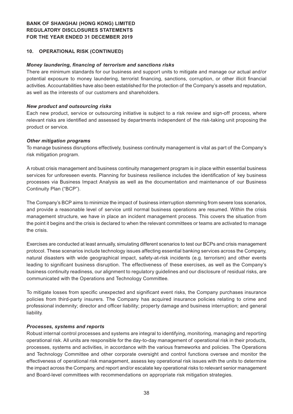#### **10. OPERATIONAL RISK (CONTINUED)**

#### *Money laundering, financing of terrorism and sanctions risks*

There are minimum standards for our business and support units to mitigate and manage our actual and/or potential exposure to money laundering, terrorist financing, sanctions, corruption, or other illicit financial activities. Accountabilities have also been established for the protection of the Company's assets and reputation, as well as the interests of our customers and shareholders.

#### *New product and outsourcing risks*

Each new product, service or outsourcing initiative is subject to a risk review and sign-off process, where relevant risks are identified and assessed by departments independent of the risk-taking unit proposing the product or service.

#### *Other mitigation programs*

To manage business disruptions effectively, business continuity management is vital as part of the Company's risk mitigation program.

A robust crisis management and business continuity management program is in place within essential business services for unforeseen events. Planning for business resilience includes the identification of key business processes via Business Impact Analysis as well as the documentation and maintenance of our Business Continuity Plan ("BCP").

The Company's BCP aims to minimize the impact of business interruption stemming from severe loss scenarios, and provide a reasonable level of service until normal business operations are resumed. Within the crisis management structure, we have in place an incident management process. This covers the situation from the point it begins and the crisis is declared to when the relevant committees or teams are activated to manage the crisis.

Exercises are conducted at least annually, simulating different scenarios to test our BCPs and crisis management protocol. These scenarios include technology issues affecting essential banking services across the Company, natural disasters with wide geographical impact, safety-at-risk incidents (e.g. terrorism) and other events leading to significant business disruption. The effectiveness of these exercises, as well as the Company's business continuity readiness, our alignment to regulatory guidelines and our disclosure of residual risks, are communicated with the Operations and Technology Committee.

To mitigate losses from specific unexpected and significant event risks, the Company purchases insurance policies from third-party insurers. The Company has acquired insurance policies relating to crime and professional indemnity; director and officer liability; property damage and business interruption; and general liability.

#### *Processes, systems and reports*

Robust internal control processes and systems are integral to identifying, monitoring, managing and reporting operational risk. All units are responsible for the day-to-day management of operational risk in their products, processes, systems and activities, in accordance with the various frameworks and policies. The Operations and Technology Committee and other corporate oversight and control functions oversee and monitor the effectiveness of operational risk management, assess key operational risk issues with the units to determine the impact across the Company, and report and/or escalate key operational risks to relevant senior management and Board-level committees with recommendations on appropriate risk mitigation strategies.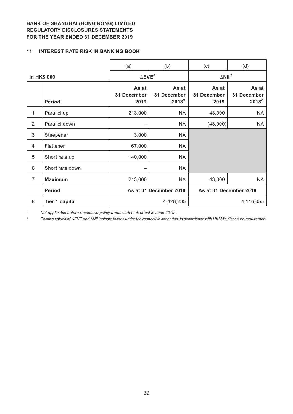#### **11 INTEREST RATE RISK IN BANKING BOOK**

|                |                       | (a)                          | (b)                                 | (c)                           | (d)                                 |
|----------------|-----------------------|------------------------------|-------------------------------------|-------------------------------|-------------------------------------|
|                | <b>In HK\$'000</b>    | $\Delta$ EVE <sup>/2</sup>   |                                     | $\triangle$ NII <sup>/2</sup> |                                     |
|                | <b>Period</b>         | As at<br>31 December<br>2019 | As at<br>31 December<br>$2018^{11}$ | As at<br>31 December<br>2019  | As at<br>31 December<br>$2018^{11}$ |
| 1              | Parallel up           | 213,000                      | <b>NA</b>                           | 43,000                        | <b>NA</b>                           |
| $\overline{2}$ | Parallel down         |                              | <b>NA</b>                           | (43,000)                      | <b>NA</b>                           |
| 3              | Steepener             | 3,000                        | <b>NA</b>                           |                               |                                     |
| $\overline{4}$ | Flattener             | 67,000                       | <b>NA</b>                           |                               |                                     |
| 5              | Short rate up         | 140,000                      | <b>NA</b>                           |                               |                                     |
| 6              | Short rate down       |                              | <b>NA</b>                           |                               |                                     |
| $\overline{7}$ | <b>Maximum</b>        | 213,000                      | <b>NA</b>                           | 43,000                        | <b>NA</b>                           |
|                | <b>Period</b>         |                              | As at 31 December 2019              | As at 31 December 2018        |                                     |
| 8              | <b>Tier 1 capital</b> |                              | 4,428,235                           |                               | 4,116,055                           |

*/1 Not applicable before respective policy framework took effect in June 2019.*

 $P^2$  *Positive values of ΔEVE and ΔNII indicate losses under the respective scenarios, in accordance with HKMA's discosure requirement*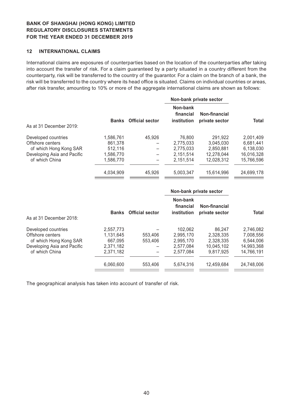#### **12 INTERNATIONAL CLAIMS**

International claims are exposures of counterparties based on the location of the counterparties after taking into account the transfer of risk. For a claim guaranteed by a party situated in a country different from the counterparty, risk will be transferred to the country of the guarantor. For a claim on the branch of a bank, the risk will be transferred to the country where its head office is situated. Claims on individual countries or areas, after risk transfer, amounting to 10% or more of the aggregate international claims are shown as follows:

|                             |              |                        |                                      | Non-bank private sector         |            |
|-----------------------------|--------------|------------------------|--------------------------------------|---------------------------------|------------|
| As at 31 December 2019:     | <b>Banks</b> | <b>Official sector</b> | Non-bank<br>financial<br>institution | Non-financial<br>private sector | Total      |
|                             |              |                        |                                      |                                 |            |
| Developed countries         | 1,586,761    | 45.926                 | 76,800                               | 291.922                         | 2,001,409  |
| Offshore centers            | 861.378      |                        | 2,775,033                            | 3.045.030                       | 6.681.441  |
| of which Hong Kong SAR      | 512,116      |                        | 2.775.033                            | 2,850,881                       | 6,138,030  |
| Developing Asia and Pacific | 1,586,770    |                        | 2,151,514                            | 12,278,044                      | 16,016,328 |
| of which China              | 1,586,770    |                        | 2.151.514                            | 12,028,312                      | 15,766,596 |
|                             | 4,034,909    | 45.926                 | 5,003,347                            | 15.614.996                      | 24,699,178 |

|                             |              |                        |                                             | Non-bank private sector         |              |
|-----------------------------|--------------|------------------------|---------------------------------------------|---------------------------------|--------------|
| As at 31 December 2018:     | <b>Banks</b> | <b>Official sector</b> | Non-bank<br>financial<br><b>institution</b> | Non-financial<br>private sector | <b>Total</b> |
| Developed countries         | 2.557.773    |                        | 102.062                                     | 86,247                          | 2.746.082    |
| Offshore centers            | 1.131.645    | 553,406                | 2.995.170                                   | 2.328.335                       | 7,008,556    |
| of which Hong Kong SAR      | 667.095      | 553,406                | 2.995.170                                   | 2,328,335                       | 6,544,006    |
| Developing Asia and Pacific | 2,371,182    |                        | 2.577.084                                   | 10.045.102                      | 14,993,368   |
| of which China              | 2,371,182    |                        | 2.577.084                                   | 9.817.925                       | 14.766.191   |
|                             | 6,060,600    | 553,406                | 5,674,316                                   | 12.459.684                      | 24,748,006   |
|                             |              |                        |                                             |                                 |              |

The geographical analysis has taken into account of transfer of risk.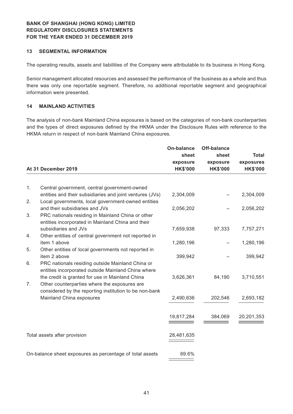#### **13 SEGMENTAL INFORMATION**

The operating results, assets and liabilities of the Company were attributable to its business in Hong Kong.

Senior management allocated resources and assessed the performance of the business as a whole and thus there was only one reportable segment. Therefore, no additional reportable segment and geographical information were presented.

#### **14 MAINLAND ACTIVITIES**

The analysis of non-bank Mainland China exposures is based on the categories of non-bank counterparties and the types of direct exposures defined by the HKMA under the Disclosure Rules with reference to the HKMA return in respect of non-bank Mainland China exposures.

|    |                                                                                                                | On-balance      | <b>Off-balance</b> |                 |
|----|----------------------------------------------------------------------------------------------------------------|-----------------|--------------------|-----------------|
|    |                                                                                                                | sheet           | sheet              | <b>Total</b>    |
|    |                                                                                                                | exposure        | exposure           | exposures       |
|    | At 31 December 2019                                                                                            | <b>HK\$'000</b> | <b>HK\$'000</b>    | <b>HK\$'000</b> |
|    |                                                                                                                |                 |                    |                 |
| 1. | Central government, central government-owned                                                                   |                 |                    |                 |
| 2. | entities and their subsidiaries and joint ventures (JVs)<br>Local governments, local government-owned entities | 2,304,009       |                    | 2,304,009       |
|    | and their subsidiaries and JVs                                                                                 | 2,056,202       |                    | 2,056,202       |
| 3. | PRC nationals residing in Mainland China or other<br>entities incorporated in Mainland China and their         |                 |                    |                 |
|    | subsidiaries and JVs                                                                                           | 7,659,938       | 97,333             | 7,757,271       |
| 4. | Other entities of central government not reported in                                                           |                 |                    |                 |
| 5. | item 1 above<br>Other entities of local governments not reported in                                            | 1,280,196       |                    | 1,280,196       |
|    | item 2 above                                                                                                   | 399,942         |                    | 399,942         |
| 6. | PRC nationals residing outside Mainland China or                                                               |                 |                    |                 |
|    | entities incorporated outside Mainland China where                                                             |                 |                    |                 |
| 7. | the credit is granted for use in Mainland China<br>Other counterparties where the exposures are                | 3,626,361       | 84,190             | 3,710,551       |
|    | considered by the reporting institution to be non-bank                                                         |                 |                    |                 |
|    | Mainland China exposures                                                                                       | 2,490,636       | 202,546            | 2,693,182       |
|    |                                                                                                                |                 |                    |                 |
|    |                                                                                                                | 19,817,284      | 384,069            | 20,201,353      |
|    | Total assets after provision                                                                                   | 28,481,635      |                    |                 |
|    |                                                                                                                |                 |                    |                 |
|    | On-balance sheet exposures as percentage of total assets                                                       | 69.6%           |                    |                 |
|    |                                                                                                                |                 |                    |                 |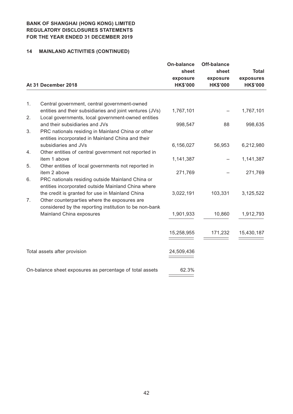# **14 MAINLAND ACTIVITIES (CONTINUED)**

|    | At 31 December 2018                                                                                                                                       | <b>On-balance</b><br>sheet<br>exposure<br><b>HK\$'000</b> | <b>Off-balance</b><br>sheet<br>exposure<br><b>HK\$'000</b> | <b>Total</b><br>exposures<br><b>HK\$'000</b> |
|----|-----------------------------------------------------------------------------------------------------------------------------------------------------------|-----------------------------------------------------------|------------------------------------------------------------|----------------------------------------------|
|    |                                                                                                                                                           |                                                           |                                                            |                                              |
| 1. | Central government, central government-owned<br>entities and their subsidiaries and joint ventures (JVs)                                                  | 1,767,101                                                 |                                                            | 1,767,101                                    |
| 2. | Local governments, local government-owned entities                                                                                                        |                                                           |                                                            |                                              |
| 3. | and their subsidiaries and JVs<br>PRC nationals residing in Mainland China or other<br>entities incorporated in Mainland China and their                  | 998,547                                                   | 88                                                         | 998,635                                      |
| 4. | subsidiaries and JVs<br>Other entities of central government not reported in                                                                              | 6,156,027                                                 | 56,953                                                     | 6,212,980                                    |
|    | item 1 above                                                                                                                                              | 1,141,387                                                 |                                                            | 1,141,387                                    |
| 5. | Other entities of local governments not reported in<br>item 2 above                                                                                       | 271,769                                                   |                                                            | 271,769                                      |
| 6. | PRC nationals residing outside Mainland China or<br>entities incorporated outside Mainland China where<br>the credit is granted for use in Mainland China | 3,022,191                                                 | 103,331                                                    | 3,125,522                                    |
| 7. | Other counterparties where the exposures are<br>considered by the reporting institution to be non-bank                                                    |                                                           |                                                            |                                              |
|    | Mainland China exposures                                                                                                                                  | 1,901,933                                                 | 10,860                                                     | 1,912,793                                    |
|    |                                                                                                                                                           | 15,258,955                                                | 171,232                                                    | 15,430,187                                   |
|    | Total assets after provision                                                                                                                              | 24,509,436                                                |                                                            |                                              |
|    | On-balance sheet exposures as percentage of total assets                                                                                                  | 62.3%                                                     |                                                            |                                              |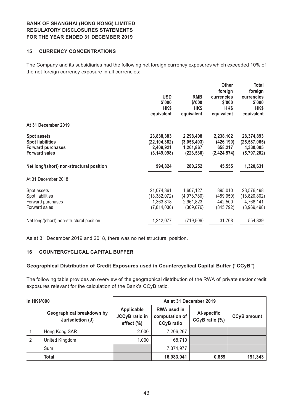#### **15 CURRENCY CONCENTRATIONS**

The Company and its subsidiaries had the following net foreign currency exposures which exceeded 10% of the net foreign currency exposure in all currencies:

|                                          |                |             | <b>Other</b>  | Total          |
|------------------------------------------|----------------|-------------|---------------|----------------|
|                                          |                |             | foreign       | foreign        |
|                                          | <b>USD</b>     | <b>RMB</b>  | currencies    | currencies     |
|                                          | \$'000         | \$'000      | \$'000        | \$'000         |
|                                          | HK\$           | HK\$        | HK\$          | HK\$           |
|                                          | equivalent     | equivalent  | equivalent    | equivalent     |
| At 31 December 2019                      |                |             |               |                |
| <b>Spot assets</b>                       | 23,838,383     | 2,298,408   | 2,238,102     | 28,374,893     |
| <b>Spot liabilities</b>                  | (22, 104, 382) | (3,056,493) | (426, 190)    | (25, 587, 065) |
| <b>Forward purchases</b>                 | 2,409,921      | 1,261,867   | 658,217       | 4,330,005      |
| <b>Forward sales</b>                     | (3, 149, 098)  | (223, 530)  | (2, 424, 574) | (5,797,202)    |
| Net long/(short) non-structural position | 994,824        | 280,252     | 45,555        | 1,320,631      |
| At 31 December 2018                      |                |             |               |                |
|                                          |                |             |               |                |
| Spot assets                              | 21,074,361     | 1,607,127   | 895,010       | 23,576,498     |
| Spot liabilities                         | (13, 382, 072) | (4,978,780) | (459, 950)    | (18, 820, 802) |
| Forward purchases                        | 1,363,818      | 2,961,823   | 442,500       | 4,768,141      |
| Forward sales                            | (7, 814, 030)  | (309, 676)  | (845, 792)    | (8,969,498)    |
| Net long/(short) non-structural position | 1,242,077      | (719, 506)  | 31,768        | 554,339        |
|                                          |                |             |               |                |

As at 31 December 2019 and 2018, there was no net structural position.

## **16 COUNTERCYCLICAL CAPITAL BUFFER**

#### **Geographical Distribution of Credit Exposures used in Countercyclical Capital Buffer ("CCyB")**

The following table provides an overview of the geographical distribution of the RWA of private sector credit exposures relevant for the calculation of the Bank's CCyB ratio.

| <b>In HK\$'000</b> |                                               | As at 31 December 2019                               |                                                           |                               |                    |
|--------------------|-----------------------------------------------|------------------------------------------------------|-----------------------------------------------------------|-------------------------------|--------------------|
|                    | Geographical breakdown by<br>Jurisdiction (J) | Applicable<br><b>JCCyB</b> ratio in<br>effect $(\%)$ | <b>RWA used in</b><br>computation of<br><b>CCyB</b> ratio | Al-specific<br>CCyB ratio (%) | <b>CCyB</b> amount |
|                    | Hong Kong SAR                                 | 2.000                                                | 7,206,267                                                 |                               |                    |
| 2                  | United Kingdom                                | 1.000                                                | 168,710                                                   |                               |                    |
|                    | Sum                                           |                                                      | 7,374,977                                                 |                               |                    |
|                    | <b>Total</b>                                  |                                                      | 16,983,041                                                | 0.859                         | 191,343            |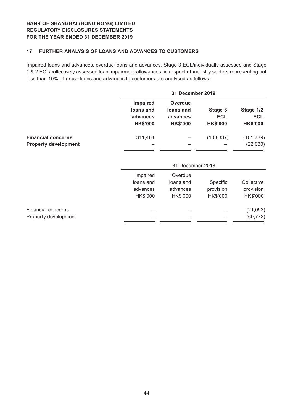#### **17 FURTHER ANALYSIS OF LOANS AND ADVANCES TO CUSTOMERS**

Impaired loans and advances, overdue loans and advances, Stage 3 ECL/individually assessed and Stage 1 & 2 ECL/collectively assessed loan impairment allowances, in respect of industry sectors representing not less than 10% of gross loans and advances to customers are analysed as follows:

|                                                          |                                                      | <b>31 December 2019</b>                                    |                                          |                                            |  |
|----------------------------------------------------------|------------------------------------------------------|------------------------------------------------------------|------------------------------------------|--------------------------------------------|--|
|                                                          | Impaired<br>loans and<br>advances<br><b>HK\$'000</b> | <b>Overdue</b><br>loans and<br>advances<br><b>HK\$'000</b> | Stage 3<br><b>ECL</b><br><b>HK\$'000</b> | Stage 1/2<br><b>ECL</b><br><b>HK\$'000</b> |  |
| <b>Financial concerns</b><br><b>Property development</b> | 311,464                                              |                                                            | (103, 337)                               | (101, 789)<br>(22,080)                     |  |
|                                                          |                                                      | 31 December 2018                                           |                                          |                                            |  |
|                                                          | Impaired                                             | Overdue                                                    |                                          |                                            |  |
|                                                          | loans and                                            | loans and                                                  | Specific                                 | Collective                                 |  |
|                                                          | advances                                             | advances                                                   | provision                                | provision                                  |  |
|                                                          | HK\$'000                                             | HK\$'000                                                   | HK\$'000                                 | HK\$'000                                   |  |
| <b>Financial concerns</b>                                |                                                      |                                                            |                                          | (21, 053)                                  |  |
| Property development                                     |                                                      |                                                            |                                          | (60, 772)                                  |  |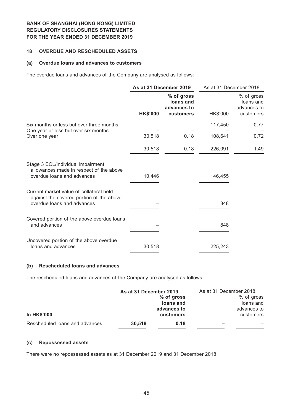#### **18 OVERDUE AND RESCHEDULED ASSETS**

#### **(a) Overdue loans and advances to customers**

The overdue loans and advances of the Company are analysed as follows:

|                                                                                                                   | As at 31 December 2019 |                                                     | As at 31 December 2018 |                                                     |
|-------------------------------------------------------------------------------------------------------------------|------------------------|-----------------------------------------------------|------------------------|-----------------------------------------------------|
|                                                                                                                   | <b>HK\$'000</b>        | % of gross<br>loans and<br>advances to<br>customers | HK\$'000               | % of gross<br>loans and<br>advances to<br>customers |
| Six months or less but over three months                                                                          |                        |                                                     | 117,450                | 0.77                                                |
| One year or less but over six months<br>Over one year                                                             | 30,518                 | 0.18                                                | 108,641                | 0.72                                                |
|                                                                                                                   | 30,518                 | 0.18                                                | 226,091                | 1.49                                                |
| Stage 3 ECL/individual impairment<br>allowances made in respect of the above<br>overdue loans and advances        | 10,446                 |                                                     | 146,455                |                                                     |
| Current market value of collateral held<br>against the covered portion of the above<br>overdue loans and advances |                        |                                                     | 848                    |                                                     |
| Covered portion of the above overdue loans<br>and advances                                                        |                        |                                                     | 848                    |                                                     |
| Uncovered portion of the above overdue<br>loans and advances                                                      | 30,518                 |                                                     | 225,243                |                                                     |

#### **(b) Rescheduled loans and advances**

The rescheduled loans and advances of the Company are analysed as follows:

| <b>In HK\$'000</b>             | As at 31 December 2019 | % of gross<br>loans and<br>advances to<br><b>customers</b> | As at 31 December 2018<br>% of gross<br>loans and<br>advances to<br>customers |  |
|--------------------------------|------------------------|------------------------------------------------------------|-------------------------------------------------------------------------------|--|
| Rescheduled loans and advances | 30.518                 | 0.18                                                       |                                                                               |  |
|                                |                        |                                                            |                                                                               |  |

#### **(c) Repossessed assets**

There were no repossessed assets as at 31 December 2019 and 31 December 2018.